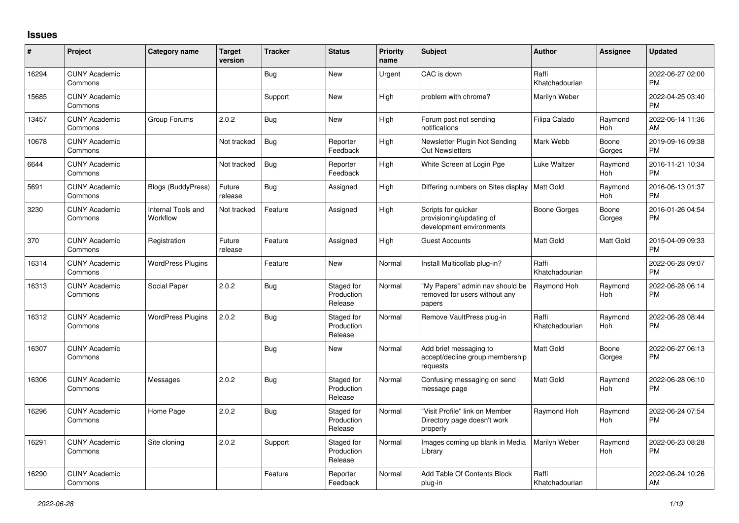## **Issues**

| #     | Project                         | <b>Category name</b>           | <b>Target</b><br>version | <b>Tracker</b> | <b>Status</b>                       | <b>Priority</b><br>name | <b>Subject</b>                                                              | <b>Author</b>           | <b>Assignee</b>       | <b>Updated</b>                |
|-------|---------------------------------|--------------------------------|--------------------------|----------------|-------------------------------------|-------------------------|-----------------------------------------------------------------------------|-------------------------|-----------------------|-------------------------------|
| 16294 | <b>CUNY Academic</b><br>Commons |                                |                          | Bug            | New                                 | Urgent                  | CAC is down                                                                 | Raffi<br>Khatchadourian |                       | 2022-06-27 02:00<br><b>PM</b> |
| 15685 | <b>CUNY Academic</b><br>Commons |                                |                          | Support        | <b>New</b>                          | High                    | problem with chrome?                                                        | Marilyn Weber           |                       | 2022-04-25 03:40<br><b>PM</b> |
| 13457 | <b>CUNY Academic</b><br>Commons | Group Forums                   | 2.0.2                    | <b>Bug</b>     | <b>New</b>                          | High                    | Forum post not sending<br>notifications                                     | Filipa Calado           | Raymond<br><b>Hoh</b> | 2022-06-14 11:36<br>AM        |
| 10678 | <b>CUNY Academic</b><br>Commons |                                | Not tracked              | <b>Bug</b>     | Reporter<br>Feedback                | High                    | Newsletter Plugin Not Sending<br><b>Out Newsletters</b>                     | Mark Webb               | Boone<br>Gorges       | 2019-09-16 09:38<br><b>PM</b> |
| 6644  | <b>CUNY Academic</b><br>Commons |                                | Not tracked              | <b>Bug</b>     | Reporter<br>Feedback                | High                    | White Screen at Login Pge                                                   | Luke Waltzer            | Raymond<br>Hoh        | 2016-11-21 10:34<br><b>PM</b> |
| 5691  | <b>CUNY Academic</b><br>Commons | <b>Blogs (BuddyPress)</b>      | Future<br>release        | Bug            | Assigned                            | High                    | Differing numbers on Sites display                                          | Matt Gold               | Raymond<br>Hoh        | 2016-06-13 01:37<br><b>PM</b> |
| 3230  | <b>CUNY Academic</b><br>Commons | Internal Tools and<br>Workflow | Not tracked              | Feature        | Assigned                            | High                    | Scripts for quicker<br>provisioning/updating of<br>development environments | <b>Boone Gorges</b>     | Boone<br>Gorges       | 2016-01-26 04:54<br><b>PM</b> |
| 370   | <b>CUNY Academic</b><br>Commons | Registration                   | Future<br>release        | Feature        | Assigned                            | High                    | <b>Guest Accounts</b>                                                       | <b>Matt Gold</b>        | Matt Gold             | 2015-04-09 09:33<br><b>PM</b> |
| 16314 | <b>CUNY Academic</b><br>Commons | <b>WordPress Plugins</b>       |                          | Feature        | <b>New</b>                          | Normal                  | Install Multicollab plug-in?                                                | Raffi<br>Khatchadourian |                       | 2022-06-28 09:07<br><b>PM</b> |
| 16313 | <b>CUNY Academic</b><br>Commons | Social Paper                   | 2.0.2                    | Bug            | Staged for<br>Production<br>Release | Normal                  | "My Papers" admin nav should be<br>removed for users without any<br>papers  | Raymond Hoh             | Raymond<br><b>Hoh</b> | 2022-06-28 06:14<br><b>PM</b> |
| 16312 | <b>CUNY Academic</b><br>Commons | <b>WordPress Plugins</b>       | 2.0.2                    | Bug            | Staged for<br>Production<br>Release | Normal                  | Remove VaultPress plug-in                                                   | Raffi<br>Khatchadourian | Raymond<br>Hoh        | 2022-06-28 08:44<br><b>PM</b> |
| 16307 | <b>CUNY Academic</b><br>Commons |                                |                          | Bug            | <b>New</b>                          | Normal                  | Add brief messaging to<br>accept/decline group membership<br>requests       | <b>Matt Gold</b>        | Boone<br>Gorges       | 2022-06-27 06:13<br><b>PM</b> |
| 16306 | <b>CUNY Academic</b><br>Commons | Messages                       | 2.0.2                    | Bug            | Staged for<br>Production<br>Release | Normal                  | Confusing messaging on send<br>message page                                 | <b>Matt Gold</b>        | Raymond<br>Hoh        | 2022-06-28 06:10<br><b>PM</b> |
| 16296 | <b>CUNY Academic</b><br>Commons | Home Page                      | 2.0.2                    | Bug            | Staged for<br>Production<br>Release | Normal                  | 'Visit Profile" link on Member<br>Directory page doesn't work<br>properly   | Raymond Hoh             | Raymond<br>Hoh        | 2022-06-24 07:54<br><b>PM</b> |
| 16291 | <b>CUNY Academic</b><br>Commons | Site cloning                   | 2.0.2                    | Support        | Staged for<br>Production<br>Release | Normal                  | Images coming up blank in Media<br>Library                                  | Marilyn Weber           | Raymond<br>Hoh        | 2022-06-23 08:28<br><b>PM</b> |
| 16290 | <b>CUNY Academic</b><br>Commons |                                |                          | Feature        | Reporter<br>Feedback                | Normal                  | Add Table Of Contents Block<br>plug-in                                      | Raffi<br>Khatchadourian |                       | 2022-06-24 10:26<br>AM        |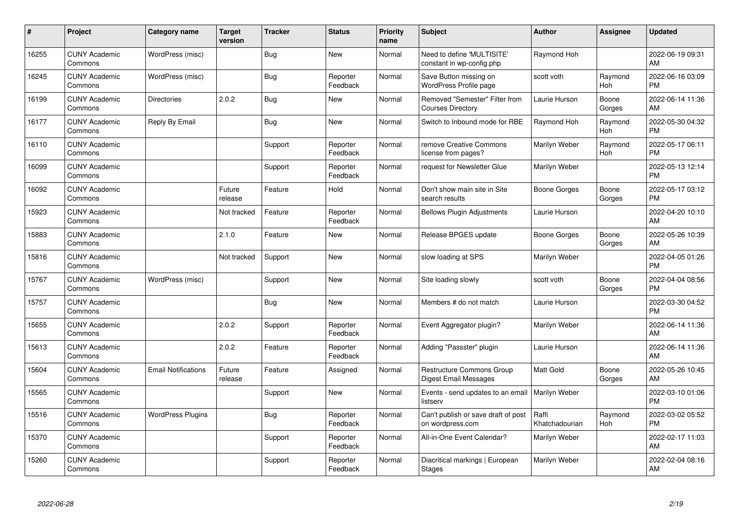| #     | Project                         | <b>Category name</b>       | Target<br>version | <b>Tracker</b> | <b>Status</b>        | <b>Priority</b><br>name | <b>Subject</b>                                             | <b>Author</b>           | <b>Assignee</b>       | <b>Updated</b>                |
|-------|---------------------------------|----------------------------|-------------------|----------------|----------------------|-------------------------|------------------------------------------------------------|-------------------------|-----------------------|-------------------------------|
| 16255 | <b>CUNY Academic</b><br>Commons | WordPress (misc)           |                   | <b>Bug</b>     | <b>New</b>           | Normal                  | Need to define 'MULTISITE'<br>constant in wp-config.php    | Raymond Hoh             |                       | 2022-06-19 09:31<br>AM        |
| 16245 | <b>CUNY Academic</b><br>Commons | WordPress (misc)           |                   | <b>Bug</b>     | Reporter<br>Feedback | Normal                  | Save Button missing on<br>WordPress Profile page           | scott voth              | Raymond<br><b>Hoh</b> | 2022-06-16 03:09<br><b>PM</b> |
| 16199 | <b>CUNY Academic</b><br>Commons | <b>Directories</b>         | 2.0.2             | <b>Bug</b>     | <b>New</b>           | Normal                  | Removed "Semester" Filter from<br><b>Courses Directory</b> | Laurie Hurson           | Boone<br>Gorges       | 2022-06-14 11:36<br>AM        |
| 16177 | <b>CUNY Academic</b><br>Commons | Reply By Email             |                   | <b>Bug</b>     | <b>New</b>           | Normal                  | Switch to Inbound mode for RBE                             | Raymond Hoh             | Raymond<br><b>Hoh</b> | 2022-05-30 04:32<br><b>PM</b> |
| 16110 | <b>CUNY Academic</b><br>Commons |                            |                   | Support        | Reporter<br>Feedback | Normal                  | remove Creative Commons<br>license from pages?             | Marilyn Weber           | Raymond<br><b>Hoh</b> | 2022-05-17 06:11<br><b>PM</b> |
| 16099 | <b>CUNY Academic</b><br>Commons |                            |                   | Support        | Reporter<br>Feedback | Normal                  | request for Newsletter Glue                                | Marilyn Weber           |                       | 2022-05-13 12:14<br><b>PM</b> |
| 16092 | <b>CUNY Academic</b><br>Commons |                            | Future<br>release | Feature        | Hold                 | Normal                  | Don't show main site in Site<br>search results             | Boone Gorges            | Boone<br>Gorges       | 2022-05-17 03:12<br><b>PM</b> |
| 15923 | <b>CUNY Academic</b><br>Commons |                            | Not tracked       | Feature        | Reporter<br>Feedback | Normal                  | <b>Bellows Plugin Adjustments</b>                          | Laurie Hurson           |                       | 2022-04-20 10:10<br>AM        |
| 15883 | <b>CUNY Academic</b><br>Commons |                            | 2.1.0             | Feature        | New                  | Normal                  | Release BPGES update                                       | Boone Gorges            | Boone<br>Gorges       | 2022-05-26 10:39<br>AM        |
| 15816 | <b>CUNY Academic</b><br>Commons |                            | Not tracked       | Support        | <b>New</b>           | Normal                  | slow loading at SPS                                        | Marilyn Weber           |                       | 2022-04-05 01:26<br><b>PM</b> |
| 15767 | <b>CUNY Academic</b><br>Commons | WordPress (misc)           |                   | Support        | <b>New</b>           | Normal                  | Site loading slowly                                        | scott voth              | Boone<br>Gorges       | 2022-04-04 08:56<br><b>PM</b> |
| 15757 | <b>CUNY Academic</b><br>Commons |                            |                   | Bug            | <b>New</b>           | Normal                  | Members # do not match                                     | Laurie Hurson           |                       | 2022-03-30 04:52<br><b>PM</b> |
| 15655 | <b>CUNY Academic</b><br>Commons |                            | 2.0.2             | Support        | Reporter<br>Feedback | Normal                  | Event Aggregator plugin?                                   | Marilyn Weber           |                       | 2022-06-14 11:36<br>AM        |
| 15613 | <b>CUNY Academic</b><br>Commons |                            | 2.0.2             | Feature        | Reporter<br>Feedback | Normal                  | Adding "Passster" plugin                                   | Laurie Hurson           |                       | 2022-06-14 11:36<br>AM        |
| 15604 | <b>CUNY Academic</b><br>Commons | <b>Email Notifications</b> | Future<br>release | Feature        | Assigned             | Normal                  | <b>Restructure Commons Group</b><br>Digest Email Messages  | Matt Gold               | Boone<br>Gorges       | 2022-05-26 10:45<br>AM        |
| 15565 | <b>CUNY Academic</b><br>Commons |                            |                   | Support        | <b>New</b>           | Normal                  | Events - send updates to an email<br>listserv              | <b>Marilyn Weber</b>    |                       | 2022-03-10 01:06<br><b>PM</b> |
| 15516 | <b>CUNY Academic</b><br>Commons | <b>WordPress Plugins</b>   |                   | <b>Bug</b>     | Reporter<br>Feedback | Normal                  | Can't publish or save draft of post<br>on wordpress.com    | Raffi<br>Khatchadourian | Raymond<br>Hoh        | 2022-03-02 05:52<br><b>PM</b> |
| 15370 | <b>CUNY Academic</b><br>Commons |                            |                   | Support        | Reporter<br>Feedback | Normal                  | All-in-One Event Calendar?                                 | Marilyn Weber           |                       | 2022-02-17 11:03<br>AM        |
| 15260 | <b>CUNY Academic</b><br>Commons |                            |                   | Support        | Reporter<br>Feedback | Normal                  | Diacritical markings   European<br><b>Stages</b>           | Marilyn Weber           |                       | 2022-02-04 08:16<br>AM        |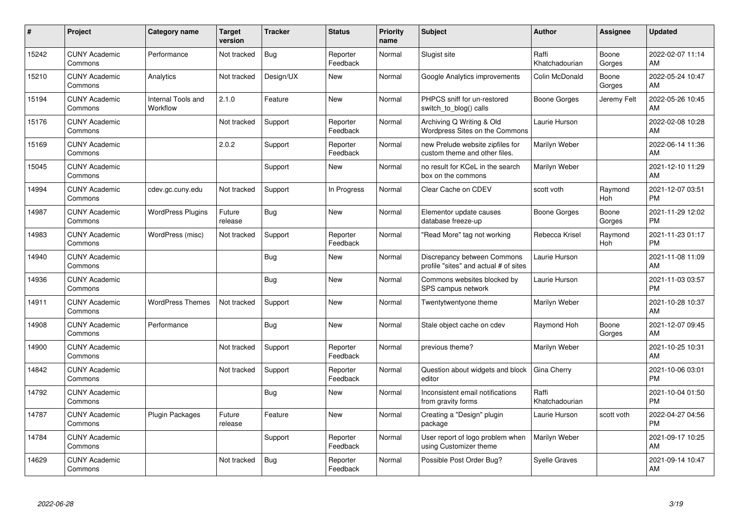| #     | Project                         | <b>Category name</b>           | Target<br>version | <b>Tracker</b> | <b>Status</b>        | <b>Priority</b><br>name | <b>Subject</b>                                                       | <b>Author</b>           | <b>Assignee</b>       | <b>Updated</b>                |
|-------|---------------------------------|--------------------------------|-------------------|----------------|----------------------|-------------------------|----------------------------------------------------------------------|-------------------------|-----------------------|-------------------------------|
| 15242 | <b>CUNY Academic</b><br>Commons | Performance                    | Not tracked       | <b>Bug</b>     | Reporter<br>Feedback | Normal                  | Slugist site                                                         | Raffi<br>Khatchadourian | Boone<br>Gorges       | 2022-02-07 11:14<br>AM        |
| 15210 | <b>CUNY Academic</b><br>Commons | Analytics                      | Not tracked       | Design/UX      | New                  | Normal                  | Google Analytics improvements                                        | Colin McDonald          | Boone<br>Gorges       | 2022-05-24 10:47<br>AM        |
| 15194 | <b>CUNY Academic</b><br>Commons | Internal Tools and<br>Workflow | 2.1.0             | Feature        | <b>New</b>           | Normal                  | PHPCS sniff for un-restored<br>switch to blog() calls                | Boone Gorges            | Jeremy Felt           | 2022-05-26 10:45<br>AM        |
| 15176 | <b>CUNY Academic</b><br>Commons |                                | Not tracked       | Support        | Reporter<br>Feedback | Normal                  | Archiving Q Writing & Old<br>Wordpress Sites on the Commons          | Laurie Hurson           |                       | 2022-02-08 10:28<br>AM        |
| 15169 | <b>CUNY Academic</b><br>Commons |                                | 2.0.2             | Support        | Reporter<br>Feedback | Normal                  | new Prelude website zipfiles for<br>custom theme and other files.    | Marilyn Weber           |                       | 2022-06-14 11:36<br>AM        |
| 15045 | <b>CUNY Academic</b><br>Commons |                                |                   | Support        | <b>New</b>           | Normal                  | no result for KCeL in the search<br>box on the commons               | Marilyn Weber           |                       | 2021-12-10 11:29<br>AM        |
| 14994 | <b>CUNY Academic</b><br>Commons | cdev.gc.cuny.edu               | Not tracked       | Support        | In Progress          | Normal                  | Clear Cache on CDEV                                                  | scott voth              | Raymond<br><b>Hoh</b> | 2021-12-07 03:51<br><b>PM</b> |
| 14987 | <b>CUNY Academic</b><br>Commons | <b>WordPress Plugins</b>       | Future<br>release | Bug            | New                  | Normal                  | Elementor update causes<br>database freeze-up                        | Boone Gorges            | Boone<br>Gorges       | 2021-11-29 12:02<br><b>PM</b> |
| 14983 | <b>CUNY Academic</b><br>Commons | WordPress (misc)               | Not tracked       | Support        | Reporter<br>Feedback | Normal                  | "Read More" tag not working                                          | Rebecca Krisel          | Raymond<br>Hoh        | 2021-11-23 01:17<br><b>PM</b> |
| 14940 | <b>CUNY Academic</b><br>Commons |                                |                   | Bug            | <b>New</b>           | Normal                  | Discrepancy between Commons<br>profile "sites" and actual # of sites | Laurie Hurson           |                       | 2021-11-08 11:09<br>AM        |
| 14936 | <b>CUNY Academic</b><br>Commons |                                |                   | <b>Bug</b>     | <b>New</b>           | Normal                  | Commons websites blocked by<br>SPS campus network                    | Laurie Hurson           |                       | 2021-11-03 03:57<br><b>PM</b> |
| 14911 | <b>CUNY Academic</b><br>Commons | <b>WordPress Themes</b>        | Not tracked       | Support        | <b>New</b>           | Normal                  | Twentytwentyone theme                                                | Marilyn Weber           |                       | 2021-10-28 10:37<br>AM        |
| 14908 | <b>CUNY Academic</b><br>Commons | Performance                    |                   | Bug            | <b>New</b>           | Normal                  | Stale object cache on cdev                                           | Raymond Hoh             | Boone<br>Gorges       | 2021-12-07 09:45<br>AM        |
| 14900 | <b>CUNY Academic</b><br>Commons |                                | Not tracked       | Support        | Reporter<br>Feedback | Normal                  | previous theme?                                                      | Marilyn Weber           |                       | 2021-10-25 10:31<br>AM        |
| 14842 | <b>CUNY Academic</b><br>Commons |                                | Not tracked       | Support        | Reporter<br>Feedback | Normal                  | Question about widgets and block<br>editor                           | Gina Cherry             |                       | 2021-10-06 03:01<br><b>PM</b> |
| 14792 | <b>CUNY Academic</b><br>Commons |                                |                   | <b>Bug</b>     | <b>New</b>           | Normal                  | Inconsistent email notifications<br>from gravity forms               | Raffi<br>Khatchadourian |                       | 2021-10-04 01:50<br><b>PM</b> |
| 14787 | <b>CUNY Academic</b><br>Commons | <b>Plugin Packages</b>         | Future<br>release | Feature        | <b>New</b>           | Normal                  | Creating a "Design" plugin<br>package                                | Laurie Hurson           | scott voth            | 2022-04-27 04:56<br><b>PM</b> |
| 14784 | <b>CUNY Academic</b><br>Commons |                                |                   | Support        | Reporter<br>Feedback | Normal                  | User report of logo problem when<br>using Customizer theme           | Marilyn Weber           |                       | 2021-09-17 10:25<br>AM        |
| 14629 | <b>CUNY Academic</b><br>Commons |                                | Not tracked       | <b>Bug</b>     | Reporter<br>Feedback | Normal                  | Possible Post Order Bug?                                             | <b>Syelle Graves</b>    |                       | 2021-09-14 10:47<br>AM        |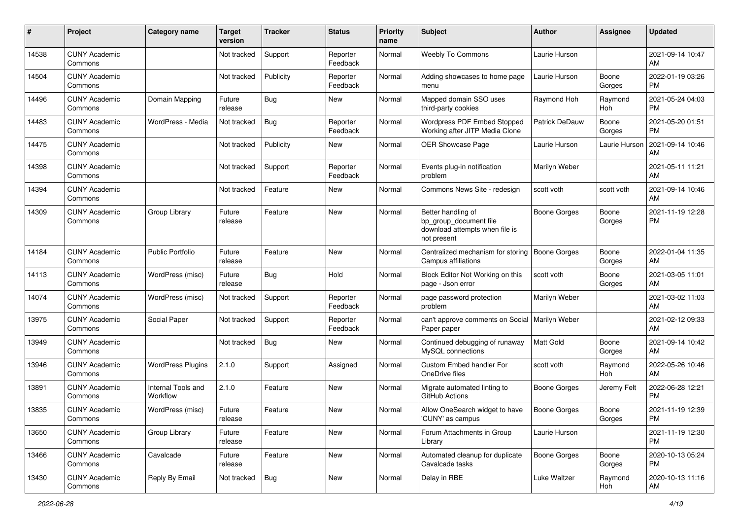| #     | Project                         | <b>Category name</b>           | <b>Target</b><br>version | <b>Tracker</b> | <b>Status</b>        | <b>Priority</b><br>name | Subject                                                                                       | <b>Author</b>         | <b>Assignee</b> | <b>Updated</b>                |
|-------|---------------------------------|--------------------------------|--------------------------|----------------|----------------------|-------------------------|-----------------------------------------------------------------------------------------------|-----------------------|-----------------|-------------------------------|
| 14538 | <b>CUNY Academic</b><br>Commons |                                | Not tracked              | Support        | Reporter<br>Feedback | Normal                  | <b>Weebly To Commons</b>                                                                      | Laurie Hurson         |                 | 2021-09-14 10:47<br>AM        |
| 14504 | <b>CUNY Academic</b><br>Commons |                                | Not tracked              | Publicity      | Reporter<br>Feedback | Normal                  | Adding showcases to home page<br>menu                                                         | Laurie Hurson         | Boone<br>Gorges | 2022-01-19 03:26<br><b>PM</b> |
| 14496 | <b>CUNY Academic</b><br>Commons | Domain Mapping                 | Future<br>release        | Bug            | New                  | Normal                  | Mapped domain SSO uses<br>third-party cookies                                                 | Raymond Hoh           | Raymond<br>Hoh  | 2021-05-24 04:03<br><b>PM</b> |
| 14483 | <b>CUNY Academic</b><br>Commons | WordPress - Media              | Not tracked              | Bug            | Reporter<br>Feedback | Normal                  | Wordpress PDF Embed Stopped<br>Working after JITP Media Clone                                 | <b>Patrick DeDauw</b> | Boone<br>Gorges | 2021-05-20 01:51<br><b>PM</b> |
| 14475 | <b>CUNY Academic</b><br>Commons |                                | Not tracked              | Publicity      | New                  | Normal                  | <b>OER Showcase Page</b>                                                                      | Laurie Hurson         | Laurie Hurson   | 2021-09-14 10:46<br>AM        |
| 14398 | <b>CUNY Academic</b><br>Commons |                                | Not tracked              | Support        | Reporter<br>Feedback | Normal                  | Events plug-in notification<br>problem                                                        | Marilyn Weber         |                 | 2021-05-11 11:21<br>AM        |
| 14394 | <b>CUNY Academic</b><br>Commons |                                | Not tracked              | Feature        | New                  | Normal                  | Commons News Site - redesign                                                                  | scott voth            | scott voth      | 2021-09-14 10:46<br>AM        |
| 14309 | <b>CUNY Academic</b><br>Commons | Group Library                  | Future<br>release        | Feature        | New                  | Normal                  | Better handling of<br>bp_group_document file<br>download attempts when file is<br>not present | <b>Boone Gorges</b>   | Boone<br>Gorges | 2021-11-19 12:28<br>РM        |
| 14184 | <b>CUNY Academic</b><br>Commons | <b>Public Portfolio</b>        | Future<br>release        | Feature        | <b>New</b>           | Normal                  | Centralized mechanism for storing<br>Campus affiliations                                      | <b>Boone Gorges</b>   | Boone<br>Gorges | 2022-01-04 11:35<br>AM        |
| 14113 | <b>CUNY Academic</b><br>Commons | WordPress (misc)               | Future<br>release        | Bug            | Hold                 | Normal                  | Block Editor Not Working on this<br>page - Json error                                         | scott voth            | Boone<br>Gorges | 2021-03-05 11:01<br>AM        |
| 14074 | <b>CUNY Academic</b><br>Commons | WordPress (misc)               | Not tracked              | Support        | Reporter<br>Feedback | Normal                  | page password protection<br>problem                                                           | Marilyn Weber         |                 | 2021-03-02 11:03<br>AM        |
| 13975 | <b>CUNY Academic</b><br>Commons | Social Paper                   | Not tracked              | Support        | Reporter<br>Feedback | Normal                  | can't approve comments on Social<br>Paper paper                                               | Marilyn Weber         |                 | 2021-02-12 09:33<br>AM        |
| 13949 | <b>CUNY Academic</b><br>Commons |                                | Not tracked              | Bug            | New                  | Normal                  | Continued debugging of runaway<br>MySQL connections                                           | Matt Gold             | Boone<br>Gorges | 2021-09-14 10:42<br>AM        |
| 13946 | <b>CUNY Academic</b><br>Commons | <b>WordPress Plugins</b>       | 2.1.0                    | Support        | Assigned             | Normal                  | Custom Embed handler For<br>OneDrive files                                                    | scott voth            | Raymond<br>Hoh  | 2022-05-26 10:46<br>AM        |
| 13891 | <b>CUNY Academic</b><br>Commons | Internal Tools and<br>Workflow | 2.1.0                    | Feature        | New                  | Normal                  | Migrate automated linting to<br>GitHub Actions                                                | <b>Boone Gorges</b>   | Jeremy Felt     | 2022-06-28 12:21<br><b>PM</b> |
| 13835 | <b>CUNY Academic</b><br>Commons | WordPress (misc)               | Future<br>release        | Feature        | New                  | Normal                  | Allow OneSearch widget to have<br>'CUNY' as campus                                            | <b>Boone Gorges</b>   | Boone<br>Gorges | 2021-11-19 12:39<br>PM        |
| 13650 | <b>CUNY Academic</b><br>Commons | Group Library                  | Future<br>release        | Feature        | New                  | Normal                  | Forum Attachments in Group<br>Library                                                         | Laurie Hurson         |                 | 2021-11-19 12:30<br><b>PM</b> |
| 13466 | <b>CUNY Academic</b><br>Commons | Cavalcade                      | Future<br>release        | Feature        | New                  | Normal                  | Automated cleanup for duplicate<br>Cavalcade tasks                                            | <b>Boone Gorges</b>   | Boone<br>Gorges | 2020-10-13 05:24<br><b>PM</b> |
| 13430 | <b>CUNY Academic</b><br>Commons | Reply By Email                 | Not tracked              | <b>Bug</b>     | New                  | Normal                  | Delay in RBE                                                                                  | Luke Waltzer          | Raymond<br>Hoh  | 2020-10-13 11:16<br>AM        |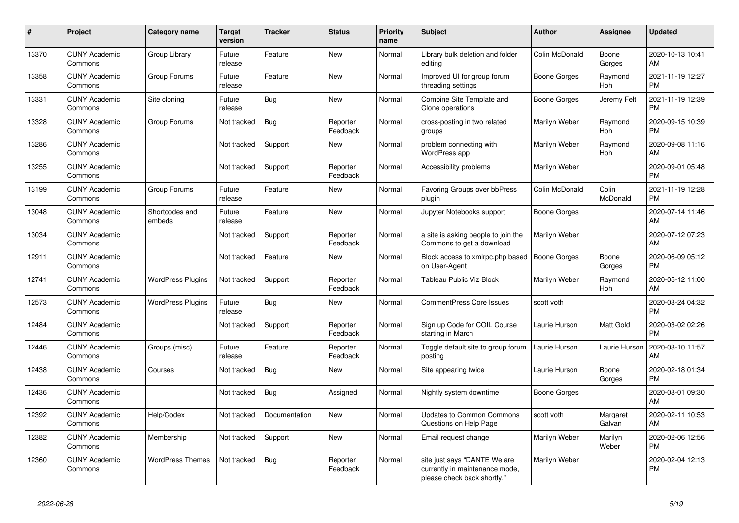| #     | Project                         | Category name            | <b>Target</b><br>version | <b>Tracker</b> | <b>Status</b>        | Priority<br>name | <b>Subject</b>                                                                                | <b>Author</b>       | Assignee              | <b>Updated</b>                |
|-------|---------------------------------|--------------------------|--------------------------|----------------|----------------------|------------------|-----------------------------------------------------------------------------------------------|---------------------|-----------------------|-------------------------------|
| 13370 | <b>CUNY Academic</b><br>Commons | Group Library            | Future<br>release        | Feature        | <b>New</b>           | Normal           | Library bulk deletion and folder<br>editing                                                   | Colin McDonald      | Boone<br>Gorges       | 2020-10-13 10:41<br>AM        |
| 13358 | <b>CUNY Academic</b><br>Commons | Group Forums             | Future<br>release        | Feature        | <b>New</b>           | Normal           | Improved UI for group forum<br>threading settings                                             | Boone Gorges        | Raymond<br><b>Hoh</b> | 2021-11-19 12:27<br><b>PM</b> |
| 13331 | <b>CUNY Academic</b><br>Commons | Site cloning             | Future<br>release        | Bug            | New                  | Normal           | Combine Site Template and<br>Clone operations                                                 | Boone Gorges        | Jeremy Felt           | 2021-11-19 12:39<br><b>PM</b> |
| 13328 | <b>CUNY Academic</b><br>Commons | Group Forums             | Not tracked              | <b>Bug</b>     | Reporter<br>Feedback | Normal           | cross-posting in two related<br>groups                                                        | Marilyn Weber       | Raymond<br><b>Hoh</b> | 2020-09-15 10:39<br><b>PM</b> |
| 13286 | <b>CUNY Academic</b><br>Commons |                          | Not tracked              | Support        | <b>New</b>           | Normal           | problem connecting with<br><b>WordPress app</b>                                               | Marilyn Weber       | Raymond<br>Hoh        | 2020-09-08 11:16<br>AM        |
| 13255 | <b>CUNY Academic</b><br>Commons |                          | Not tracked              | Support        | Reporter<br>Feedback | Normal           | Accessibility problems                                                                        | Marilyn Weber       |                       | 2020-09-01 05:48<br><b>PM</b> |
| 13199 | <b>CUNY Academic</b><br>Commons | Group Forums             | Future<br>release        | Feature        | <b>New</b>           | Normal           | <b>Favoring Groups over bbPress</b><br>plugin                                                 | Colin McDonald      | Colin<br>McDonald     | 2021-11-19 12:28<br><b>PM</b> |
| 13048 | <b>CUNY Academic</b><br>Commons | Shortcodes and<br>embeds | Future<br>release        | Feature        | <b>New</b>           | Normal           | Jupyter Notebooks support                                                                     | <b>Boone Gorges</b> |                       | 2020-07-14 11:46<br>AM        |
| 13034 | <b>CUNY Academic</b><br>Commons |                          | Not tracked              | Support        | Reporter<br>Feedback | Normal           | a site is asking people to join the<br>Commons to get a download                              | Marilyn Weber       |                       | 2020-07-12 07:23<br>AM        |
| 12911 | <b>CUNY Academic</b><br>Commons |                          | Not tracked              | Feature        | <b>New</b>           | Normal           | Block access to xmlrpc.php based<br>on User-Agent                                             | <b>Boone Gorges</b> | Boone<br>Gorges       | 2020-06-09 05:12<br><b>PM</b> |
| 12741 | <b>CUNY Academic</b><br>Commons | <b>WordPress Plugins</b> | Not tracked              | Support        | Reporter<br>Feedback | Normal           | Tableau Public Viz Block                                                                      | Marilyn Weber       | Raymond<br><b>Hoh</b> | 2020-05-12 11:00<br>AM        |
| 12573 | <b>CUNY Academic</b><br>Commons | <b>WordPress Plugins</b> | Future<br>release        | Bug            | <b>New</b>           | Normal           | <b>CommentPress Core Issues</b>                                                               | scott voth          |                       | 2020-03-24 04:32<br><b>PM</b> |
| 12484 | <b>CUNY Academic</b><br>Commons |                          | Not tracked              | Support        | Reporter<br>Feedback | Normal           | Sign up Code for COIL Course<br>starting in March                                             | Laurie Hurson       | <b>Matt Gold</b>      | 2020-03-02 02:26<br><b>PM</b> |
| 12446 | <b>CUNY Academic</b><br>Commons | Groups (misc)            | Future<br>release        | Feature        | Reporter<br>Feedback | Normal           | Toggle default site to group forum<br>posting                                                 | Laurie Hurson       | Laurie Hurson         | 2020-03-10 11:57<br>AM        |
| 12438 | <b>CUNY Academic</b><br>Commons | Courses                  | Not tracked              | Bug            | <b>New</b>           | Normal           | Site appearing twice                                                                          | Laurie Hurson       | Boone<br>Gorges       | 2020-02-18 01:34<br><b>PM</b> |
| 12436 | <b>CUNY Academic</b><br>Commons |                          | Not tracked              | <b>Bug</b>     | Assigned             | Normal           | Nightly system downtime                                                                       | Boone Gorges        |                       | 2020-08-01 09:30<br>AM        |
| 12392 | <b>CUNY Academic</b><br>Commons | Help/Codex               | Not tracked              | Documentation  | <b>New</b>           | Normal           | <b>Updates to Common Commons</b><br>Questions on Help Page                                    | scott voth          | Margaret<br>Galvan    | 2020-02-11 10:53<br>AM        |
| 12382 | <b>CUNY Academic</b><br>Commons | Membership               | Not tracked              | Support        | <b>New</b>           | Normal           | Email request change                                                                          | Marilyn Weber       | Marilyn<br>Weber      | 2020-02-06 12:56<br><b>PM</b> |
| 12360 | <b>CUNY Academic</b><br>Commons | <b>WordPress Themes</b>  | Not tracked              | Bug            | Reporter<br>Feedback | Normal           | site just says "DANTE We are<br>currently in maintenance mode,<br>please check back shortly." | Marilyn Weber       |                       | 2020-02-04 12:13<br><b>PM</b> |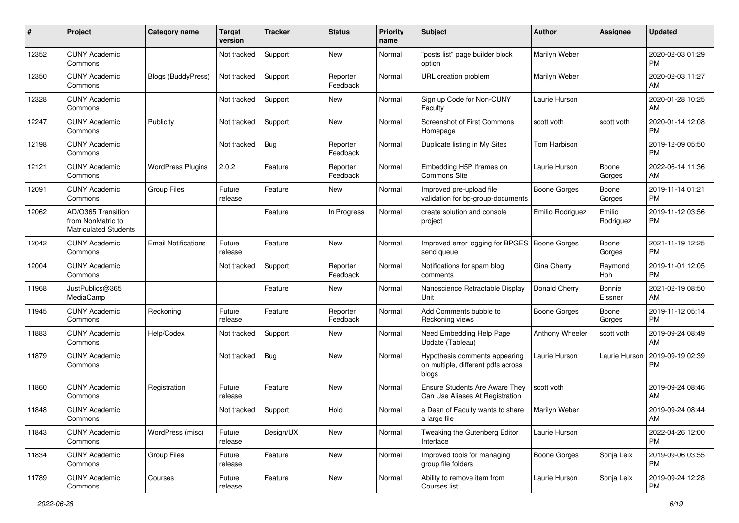| #     | Project                                                                 | <b>Category name</b>       | <b>Target</b><br>version | <b>Tracker</b> | <b>Status</b>        | <b>Priority</b><br>name | Subject                                                                      | Author              | <b>Assignee</b>     | <b>Updated</b>                |
|-------|-------------------------------------------------------------------------|----------------------------|--------------------------|----------------|----------------------|-------------------------|------------------------------------------------------------------------------|---------------------|---------------------|-------------------------------|
| 12352 | <b>CUNY Academic</b><br>Commons                                         |                            | Not tracked              | Support        | <b>New</b>           | Normal                  | "posts list" page builder block<br>option                                    | Marilyn Weber       |                     | 2020-02-03 01:29<br>РM        |
| 12350 | <b>CUNY Academic</b><br>Commons                                         | <b>Blogs (BuddyPress)</b>  | Not tracked              | Support        | Reporter<br>Feedback | Normal                  | URL creation problem                                                         | Marilyn Weber       |                     | 2020-02-03 11:27<br>AM        |
| 12328 | <b>CUNY Academic</b><br>Commons                                         |                            | Not tracked              | Support        | New                  | Normal                  | Sign up Code for Non-CUNY<br>Faculty                                         | Laurie Hurson       |                     | 2020-01-28 10:25<br>AM        |
| 12247 | <b>CUNY Academic</b><br>Commons                                         | Publicity                  | Not tracked              | Support        | New                  | Normal                  | <b>Screenshot of First Commons</b><br>Homepage                               | scott voth          | scott voth          | 2020-01-14 12:08<br><b>PM</b> |
| 12198 | <b>CUNY Academic</b><br>Commons                                         |                            | Not tracked              | <b>Bug</b>     | Reporter<br>Feedback | Normal                  | Duplicate listing in My Sites                                                | Tom Harbison        |                     | 2019-12-09 05:50<br><b>PM</b> |
| 12121 | <b>CUNY Academic</b><br>Commons                                         | <b>WordPress Plugins</b>   | 2.0.2                    | Feature        | Reporter<br>Feedback | Normal                  | Embedding H5P Iframes on<br>Commons Site                                     | Laurie Hurson       | Boone<br>Gorges     | 2022-06-14 11:36<br>AM        |
| 12091 | <b>CUNY Academic</b><br>Commons                                         | <b>Group Files</b>         | Future<br>release        | Feature        | New                  | Normal                  | Improved pre-upload file<br>validation for bp-group-documents                | <b>Boone Gorges</b> | Boone<br>Gorges     | 2019-11-14 01:21<br><b>PM</b> |
| 12062 | AD/O365 Transition<br>from NonMatric to<br><b>Matriculated Students</b> |                            |                          | Feature        | In Progress          | Normal                  | create solution and console<br>project                                       | Emilio Rodriguez    | Emilio<br>Rodriguez | 2019-11-12 03:56<br>PM        |
| 12042 | <b>CUNY Academic</b><br>Commons                                         | <b>Email Notifications</b> | Future<br>release        | Feature        | <b>New</b>           | Normal                  | Improved error logging for BPGES   Boone Gorges<br>send queue                |                     | Boone<br>Gorges     | 2021-11-19 12:25<br><b>PM</b> |
| 12004 | <b>CUNY Academic</b><br>Commons                                         |                            | Not tracked              | Support        | Reporter<br>Feedback | Normal                  | Notifications for spam blog<br>comments                                      | Gina Cherry         | Raymond<br>Hoh      | 2019-11-01 12:05<br><b>PM</b> |
| 11968 | JustPublics@365<br>MediaCamp                                            |                            |                          | Feature        | New                  | Normal                  | Nanoscience Retractable Display<br>Unit                                      | Donald Cherry       | Bonnie<br>Eissner   | 2021-02-19 08:50<br>AM        |
| 11945 | <b>CUNY Academic</b><br>Commons                                         | Reckoning                  | Future<br>release        | Feature        | Reporter<br>Feedback | Normal                  | Add Comments bubble to<br>Reckoning views                                    | Boone Gorges        | Boone<br>Gorges     | 2019-11-12 05:14<br><b>PM</b> |
| 11883 | <b>CUNY Academic</b><br>Commons                                         | Help/Codex                 | Not tracked              | Support        | New                  | Normal                  | Need Embedding Help Page<br>Update (Tableau)                                 | Anthony Wheeler     | scott voth          | 2019-09-24 08:49<br>AM        |
| 11879 | <b>CUNY Academic</b><br>Commons                                         |                            | Not tracked              | Bug            | New                  | Normal                  | Hypothesis comments appearing<br>on multiple, different pdfs across<br>blogs | Laurie Hurson       | Laurie Hurson       | 2019-09-19 02:39<br>PM        |
| 11860 | <b>CUNY Academic</b><br>Commons                                         | Registration               | Future<br>release        | Feature        | New                  | Normal                  | Ensure Students Are Aware They<br>Can Use Aliases At Registration            | scott voth          |                     | 2019-09-24 08:46<br>AM        |
| 11848 | <b>CUNY Academic</b><br>Commons                                         |                            | Not tracked              | Support        | Hold                 | Normal                  | a Dean of Faculty wants to share<br>a large file                             | Marilyn Weber       |                     | 2019-09-24 08:44<br>AM        |
| 11843 | <b>CUNY Academic</b><br>Commons                                         | WordPress (misc)           | Future<br>release        | Design/UX      | New                  | Normal                  | Tweaking the Gutenberg Editor<br>Interface                                   | Laurie Hurson       |                     | 2022-04-26 12:00<br>PM        |
| 11834 | <b>CUNY Academic</b><br>Commons                                         | <b>Group Files</b>         | Future<br>release        | Feature        | New                  | Normal                  | Improved tools for managing<br>group file folders                            | <b>Boone Gorges</b> | Sonja Leix          | 2019-09-06 03:55<br><b>PM</b> |
| 11789 | <b>CUNY Academic</b><br>Commons                                         | Courses                    | Future<br>release        | Feature        | New                  | Normal                  | Ability to remove item from<br>Courses list                                  | Laurie Hurson       | Sonja Leix          | 2019-09-24 12:28<br><b>PM</b> |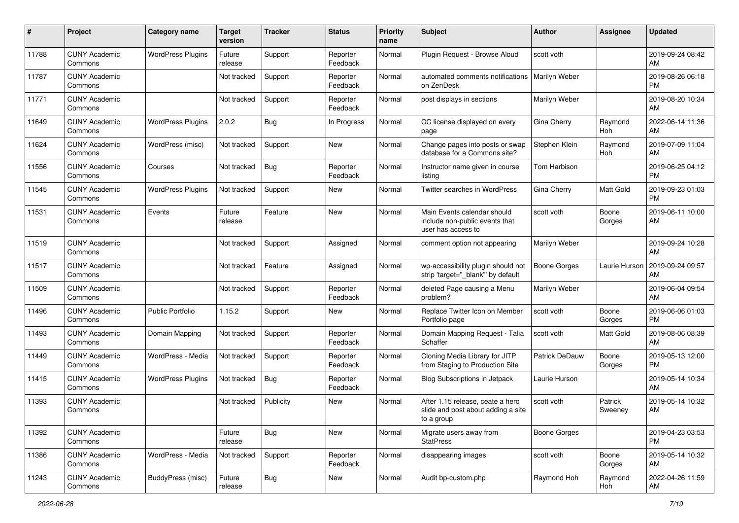| #     | Project                         | <b>Category name</b>     | <b>Target</b><br>version | <b>Tracker</b> | <b>Status</b>        | <b>Priority</b><br>name | <b>Subject</b>                                                                       | <b>Author</b>         | <b>Assignee</b>    | <b>Updated</b>                |
|-------|---------------------------------|--------------------------|--------------------------|----------------|----------------------|-------------------------|--------------------------------------------------------------------------------------|-----------------------|--------------------|-------------------------------|
| 11788 | <b>CUNY Academic</b><br>Commons | <b>WordPress Plugins</b> | Future<br>release        | Support        | Reporter<br>Feedback | Normal                  | Plugin Request - Browse Aloud                                                        | scott voth            |                    | 2019-09-24 08:42<br>AM        |
| 11787 | <b>CUNY Academic</b><br>Commons |                          | Not tracked              | Support        | Reporter<br>Feedback | Normal                  | automated comments notifications<br>on ZenDesk                                       | Marilyn Weber         |                    | 2019-08-26 06:18<br><b>PM</b> |
| 11771 | <b>CUNY Academic</b><br>Commons |                          | Not tracked              | Support        | Reporter<br>Feedback | Normal                  | post displays in sections                                                            | Marilyn Weber         |                    | 2019-08-20 10:34<br>AM        |
| 11649 | <b>CUNY Academic</b><br>Commons | <b>WordPress Plugins</b> | 2.0.2                    | Bug            | In Progress          | Normal                  | CC license displayed on every<br>page                                                | Gina Cherry           | Raymond<br>Hoh     | 2022-06-14 11:36<br>AM        |
| 11624 | <b>CUNY Academic</b><br>Commons | WordPress (misc)         | Not tracked              | Support        | <b>New</b>           | Normal                  | Change pages into posts or swap<br>database for a Commons site?                      | Stephen Klein         | Raymond<br>Hoh     | 2019-07-09 11:04<br>AM        |
| 11556 | <b>CUNY Academic</b><br>Commons | Courses                  | Not tracked              | <b>Bug</b>     | Reporter<br>Feedback | Normal                  | Instructor name given in course<br>listing                                           | Tom Harbison          |                    | 2019-06-25 04:12<br><b>PM</b> |
| 11545 | <b>CUNY Academic</b><br>Commons | <b>WordPress Plugins</b> | Not tracked              | Support        | New                  | Normal                  | Twitter searches in WordPress                                                        | Gina Cherry           | Matt Gold          | 2019-09-23 01:03<br><b>PM</b> |
| 11531 | <b>CUNY Academic</b><br>Commons | Events                   | Future<br>release        | Feature        | <b>New</b>           | Normal                  | Main Events calendar should<br>include non-public events that<br>user has access to  | scott voth            | Boone<br>Gorges    | 2019-06-11 10:00<br>AM        |
| 11519 | <b>CUNY Academic</b><br>Commons |                          | Not tracked              | Support        | Assigned             | Normal                  | comment option not appearing                                                         | Marilyn Weber         |                    | 2019-09-24 10:28<br>AM        |
| 11517 | <b>CUNY Academic</b><br>Commons |                          | Not tracked              | Feature        | Assigned             | Normal                  | wp-accessibility plugin should not<br>strip 'target=" blank" by default              | <b>Boone Gorges</b>   | Laurie Hurson      | 2019-09-24 09:57<br>AM        |
| 11509 | <b>CUNY Academic</b><br>Commons |                          | Not tracked              | Support        | Reporter<br>Feedback | Normal                  | deleted Page causing a Menu<br>problem?                                              | Marilyn Weber         |                    | 2019-06-04 09:54<br>AM        |
| 11496 | <b>CUNY Academic</b><br>Commons | Public Portfolio         | 1.15.2                   | Support        | New                  | Normal                  | Replace Twitter Icon on Member<br>Portfolio page                                     | scott voth            | Boone<br>Gorges    | 2019-06-06 01:03<br>PM        |
| 11493 | <b>CUNY Academic</b><br>Commons | Domain Mapping           | Not tracked              | Support        | Reporter<br>Feedback | Normal                  | Domain Mapping Request - Talia<br>Schaffer                                           | scott voth            | Matt Gold          | 2019-08-06 08:39<br>AM        |
| 11449 | <b>CUNY Academic</b><br>Commons | WordPress - Media        | Not tracked              | Support        | Reporter<br>Feedback | Normal                  | Cloning Media Library for JITP<br>from Staging to Production Site                    | <b>Patrick DeDauw</b> | Boone<br>Gorges    | 2019-05-13 12:00<br><b>PM</b> |
| 11415 | <b>CUNY Academic</b><br>Commons | <b>WordPress Plugins</b> | Not tracked              | <b>Bug</b>     | Reporter<br>Feedback | Normal                  | <b>Blog Subscriptions in Jetpack</b>                                                 | Laurie Hurson         |                    | 2019-05-14 10:34<br>AM        |
| 11393 | <b>CUNY Academic</b><br>Commons |                          | Not tracked              | Publicity      | New                  | Normal                  | After 1.15 release, ceate a hero<br>slide and post about adding a site<br>to a group | scott voth            | Patrick<br>Sweeney | 2019-05-14 10:32<br>AM        |
| 11392 | <b>CUNY Academic</b><br>Commons |                          | Future<br>release        | Bug            | New                  | Normal                  | Migrate users away from<br><b>StatPress</b>                                          | <b>Boone Gorges</b>   |                    | 2019-04-23 03:53<br><b>PM</b> |
| 11386 | <b>CUNY Academic</b><br>Commons | WordPress - Media        | Not tracked              | Support        | Reporter<br>Feedback | Normal                  | disappearing images                                                                  | scott voth            | Boone<br>Gorges    | 2019-05-14 10:32<br>AM        |
| 11243 | <b>CUNY Academic</b><br>Commons | BuddyPress (misc)        | Future<br>release        | <b>Bug</b>     | New                  | Normal                  | Audit bp-custom.php                                                                  | Raymond Hoh           | Raymond<br>Hoh     | 2022-04-26 11:59<br>AM        |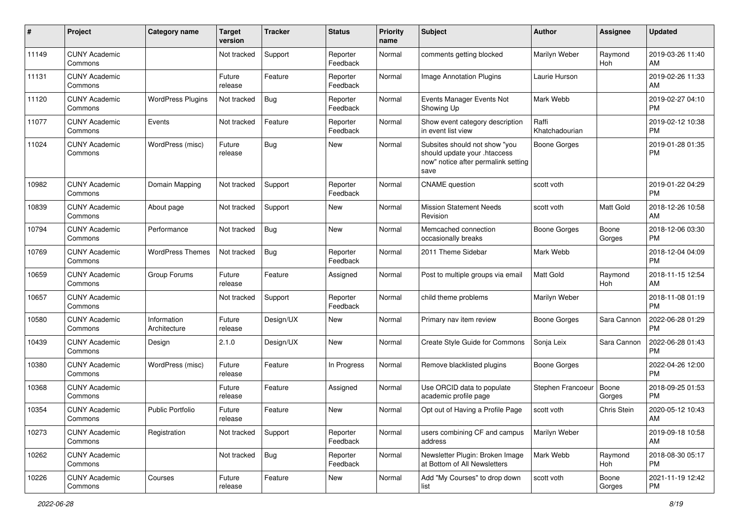| #     | Project                         | <b>Category name</b>        | <b>Target</b><br>version | <b>Tracker</b> | <b>Status</b>        | <b>Priority</b><br>name | Subject                                                                                                      | <b>Author</b>           | <b>Assignee</b> | <b>Updated</b>                |
|-------|---------------------------------|-----------------------------|--------------------------|----------------|----------------------|-------------------------|--------------------------------------------------------------------------------------------------------------|-------------------------|-----------------|-------------------------------|
| 11149 | <b>CUNY Academic</b><br>Commons |                             | Not tracked              | Support        | Reporter<br>Feedback | Normal                  | comments getting blocked                                                                                     | Marilyn Weber           | Raymond<br>Hoh  | 2019-03-26 11:40<br>AM        |
| 11131 | <b>CUNY Academic</b><br>Commons |                             | Future<br>release        | Feature        | Reporter<br>Feedback | Normal                  | Image Annotation Plugins                                                                                     | Laurie Hurson           |                 | 2019-02-26 11:33<br>AM        |
| 11120 | <b>CUNY Academic</b><br>Commons | <b>WordPress Plugins</b>    | Not tracked              | Bug            | Reporter<br>Feedback | Normal                  | Events Manager Events Not<br>Showing Up                                                                      | Mark Webb               |                 | 2019-02-27 04:10<br><b>PM</b> |
| 11077 | <b>CUNY Academic</b><br>Commons | Events                      | Not tracked              | Feature        | Reporter<br>Feedback | Normal                  | Show event category description<br>in event list view                                                        | Raffi<br>Khatchadourian |                 | 2019-02-12 10:38<br><b>PM</b> |
| 11024 | <b>CUNY Academic</b><br>Commons | WordPress (misc)            | Future<br>release        | Bug            | New                  | Normal                  | Subsites should not show "you<br>should update your .htaccess<br>now" notice after permalink setting<br>save | <b>Boone Gorges</b>     |                 | 2019-01-28 01:35<br><b>PM</b> |
| 10982 | <b>CUNY Academic</b><br>Commons | Domain Mapping              | Not tracked              | Support        | Reporter<br>Feedback | Normal                  | <b>CNAME</b> question                                                                                        | scott voth              |                 | 2019-01-22 04:29<br><b>PM</b> |
| 10839 | <b>CUNY Academic</b><br>Commons | About page                  | Not tracked              | Support        | New                  | Normal                  | <b>Mission Statement Needs</b><br>Revision                                                                   | scott voth              | Matt Gold       | 2018-12-26 10:58<br>AM        |
| 10794 | <b>CUNY Academic</b><br>Commons | Performance                 | Not tracked              | <b>Bug</b>     | New                  | Normal                  | Memcached connection<br>occasionally breaks                                                                  | <b>Boone Gorges</b>     | Boone<br>Gorges | 2018-12-06 03:30<br><b>PM</b> |
| 10769 | <b>CUNY Academic</b><br>Commons | <b>WordPress Themes</b>     | Not tracked              | Bug            | Reporter<br>Feedback | Normal                  | 2011 Theme Sidebar                                                                                           | Mark Webb               |                 | 2018-12-04 04:09<br><b>PM</b> |
| 10659 | <b>CUNY Academic</b><br>Commons | Group Forums                | Future<br>release        | Feature        | Assigned             | Normal                  | Post to multiple groups via email                                                                            | Matt Gold               | Raymond<br>Hoh  | 2018-11-15 12:54<br>AM        |
| 10657 | <b>CUNY Academic</b><br>Commons |                             | Not tracked              | Support        | Reporter<br>Feedback | Normal                  | child theme problems                                                                                         | Marilyn Weber           |                 | 2018-11-08 01:19<br><b>PM</b> |
| 10580 | <b>CUNY Academic</b><br>Commons | Information<br>Architecture | Future<br>release        | Design/UX      | New                  | Normal                  | Primary nav item review                                                                                      | <b>Boone Gorges</b>     | Sara Cannon     | 2022-06-28 01:29<br><b>PM</b> |
| 10439 | <b>CUNY Academic</b><br>Commons | Design                      | 2.1.0                    | Design/UX      | New                  | Normal                  | Create Style Guide for Commons                                                                               | Sonja Leix              | Sara Cannon     | 2022-06-28 01:43<br><b>PM</b> |
| 10380 | <b>CUNY Academic</b><br>Commons | WordPress (misc)            | Future<br>release        | Feature        | In Progress          | Normal                  | Remove blacklisted plugins                                                                                   | <b>Boone Gorges</b>     |                 | 2022-04-26 12:00<br><b>PM</b> |
| 10368 | <b>CUNY Academic</b><br>Commons |                             | Future<br>release        | Feature        | Assigned             | Normal                  | Use ORCID data to populate<br>academic profile page                                                          | Stephen Francoeur       | Boone<br>Gorges | 2018-09-25 01:53<br><b>PM</b> |
| 10354 | <b>CUNY Academic</b><br>Commons | <b>Public Portfolio</b>     | Future<br>release        | Feature        | New                  | Normal                  | Opt out of Having a Profile Page                                                                             | scott voth              | Chris Stein     | 2020-05-12 10:43<br>AM        |
| 10273 | <b>CUNY Academic</b><br>Commons | Registration                | Not tracked              | Support        | Reporter<br>Feedback | Normal                  | users combining CF and campus<br>address                                                                     | Marilyn Weber           |                 | 2019-09-18 10:58<br>AM        |
| 10262 | <b>CUNY Academic</b><br>Commons |                             | Not tracked              | Bug            | Reporter<br>Feedback | Normal                  | Newsletter Plugin: Broken Image<br>at Bottom of All Newsletters                                              | Mark Webb               | Raymond<br>Hoh  | 2018-08-30 05:17<br><b>PM</b> |
| 10226 | <b>CUNY Academic</b><br>Commons | Courses                     | Future<br>release        | Feature        | New                  | Normal                  | Add "My Courses" to drop down<br>list                                                                        | scott voth              | Boone<br>Gorges | 2021-11-19 12:42<br><b>PM</b> |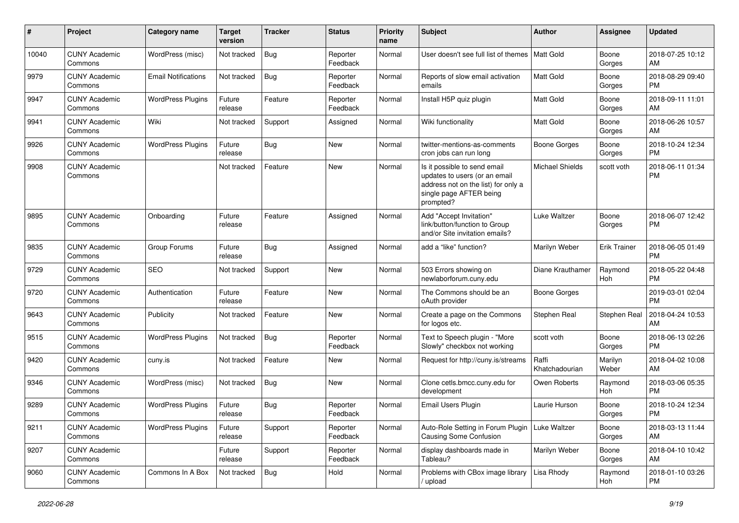| #     | Project                         | <b>Category name</b>       | <b>Target</b><br>version | <b>Tracker</b> | <b>Status</b>        | <b>Priority</b><br>name | Subject                                                                                                                                      | <b>Author</b>           | <b>Assignee</b>     | <b>Updated</b>                |
|-------|---------------------------------|----------------------------|--------------------------|----------------|----------------------|-------------------------|----------------------------------------------------------------------------------------------------------------------------------------------|-------------------------|---------------------|-------------------------------|
| 10040 | <b>CUNY Academic</b><br>Commons | WordPress (misc)           | Not tracked              | Bug            | Reporter<br>Feedback | Normal                  | User doesn't see full list of themes                                                                                                         | Matt Gold               | Boone<br>Gorges     | 2018-07-25 10:12<br>AM        |
| 9979  | <b>CUNY Academic</b><br>Commons | <b>Email Notifications</b> | Not tracked              | <b>Bug</b>     | Reporter<br>Feedback | Normal                  | Reports of slow email activation<br>emails                                                                                                   | <b>Matt Gold</b>        | Boone<br>Gorges     | 2018-08-29 09:40<br><b>PM</b> |
| 9947  | <b>CUNY Academic</b><br>Commons | <b>WordPress Plugins</b>   | Future<br>release        | Feature        | Reporter<br>Feedback | Normal                  | Install H5P quiz plugin                                                                                                                      | Matt Gold               | Boone<br>Gorges     | 2018-09-11 11:01<br>AM        |
| 9941  | <b>CUNY Academic</b><br>Commons | Wiki                       | Not tracked              | Support        | Assigned             | Normal                  | Wiki functionality                                                                                                                           | Matt Gold               | Boone<br>Gorges     | 2018-06-26 10:57<br>AM        |
| 9926  | <b>CUNY Academic</b><br>Commons | <b>WordPress Plugins</b>   | Future<br>release        | <b>Bug</b>     | New                  | Normal                  | twitter-mentions-as-comments<br>cron jobs can run long                                                                                       | Boone Gorges            | Boone<br>Gorges     | 2018-10-24 12:34<br><b>PM</b> |
| 9908  | <b>CUNY Academic</b><br>Commons |                            | Not tracked              | Feature        | New                  | Normal                  | Is it possible to send email<br>updates to users (or an email<br>address not on the list) for only a<br>single page AFTER being<br>prompted? | Michael Shields         | scott voth          | 2018-06-11 01:34<br><b>PM</b> |
| 9895  | <b>CUNY Academic</b><br>Commons | Onboarding                 | Future<br>release        | Feature        | Assigned             | Normal                  | Add "Accept Invitation"<br>link/button/function to Group<br>and/or Site invitation emails?                                                   | <b>Luke Waltzer</b>     | Boone<br>Gorges     | 2018-06-07 12:42<br><b>PM</b> |
| 9835  | <b>CUNY Academic</b><br>Commons | Group Forums               | Future<br>release        | <b>Bug</b>     | Assigned             | Normal                  | add a "like" function?                                                                                                                       | Marilyn Weber           | <b>Erik Trainer</b> | 2018-06-05 01:49<br><b>PM</b> |
| 9729  | <b>CUNY Academic</b><br>Commons | <b>SEO</b>                 | Not tracked              | Support        | <b>New</b>           | Normal                  | 503 Errors showing on<br>newlaborforum.cuny.edu                                                                                              | Diane Krauthamer        | Raymond<br>Hoh      | 2018-05-22 04:48<br><b>PM</b> |
| 9720  | <b>CUNY Academic</b><br>Commons | Authentication             | Future<br>release        | Feature        | <b>New</b>           | Normal                  | The Commons should be an<br>oAuth provider                                                                                                   | <b>Boone Gorges</b>     |                     | 2019-03-01 02:04<br><b>PM</b> |
| 9643  | <b>CUNY Academic</b><br>Commons | Publicity                  | Not tracked              | Feature        | New                  | Normal                  | Create a page on the Commons<br>for logos etc.                                                                                               | Stephen Real            | Stephen Real        | 2018-04-24 10:53<br>AM        |
| 9515  | <b>CUNY Academic</b><br>Commons | <b>WordPress Plugins</b>   | Not tracked              | Bug            | Reporter<br>Feedback | Normal                  | Text to Speech plugin - "More<br>Slowly" checkbox not working                                                                                | scott voth              | Boone<br>Gorges     | 2018-06-13 02:26<br><b>PM</b> |
| 9420  | <b>CUNY Academic</b><br>Commons | cuny.is                    | Not tracked              | Feature        | New                  | Normal                  | Request for http://cuny.is/streams                                                                                                           | Raffi<br>Khatchadourian | Marilyn<br>Weber    | 2018-04-02 10:08<br>AM        |
| 9346  | <b>CUNY Academic</b><br>Commons | WordPress (misc)           | Not tracked              | <b>Bug</b>     | New                  | Normal                  | Clone cetls.bmcc.cuny.edu for<br>development                                                                                                 | Owen Roberts            | Raymond<br>Hoh      | 2018-03-06 05:35<br><b>PM</b> |
| 9289  | <b>CUNY Academic</b><br>Commons | <b>WordPress Plugins</b>   | Future<br>release        | Bug            | Reporter<br>Feedback | Normal                  | <b>Email Users Plugin</b>                                                                                                                    | Laurie Hurson           | Boone<br>Gorges     | 2018-10-24 12:34<br>PM        |
| 9211  | <b>CUNY Academic</b><br>Commons | <b>WordPress Plugins</b>   | Future<br>release        | Support        | Reporter<br>Feedback | Normal                  | Auto-Role Setting in Forum Plugin<br>Causing Some Confusion                                                                                  | Luke Waltzer            | Boone<br>Gorges     | 2018-03-13 11:44<br>AM        |
| 9207  | <b>CUNY Academic</b><br>Commons |                            | Future<br>release        | Support        | Reporter<br>Feedback | Normal                  | display dashboards made in<br>Tableau?                                                                                                       | Marilyn Weber           | Boone<br>Gorges     | 2018-04-10 10:42<br>AM        |
| 9060  | <b>CUNY Academic</b><br>Commons | Commons In A Box           | Not tracked              | Bug            | Hold                 | Normal                  | Problems with CBox image library<br>/ upload                                                                                                 | Lisa Rhody              | Raymond<br>Hoh      | 2018-01-10 03:26<br>PM        |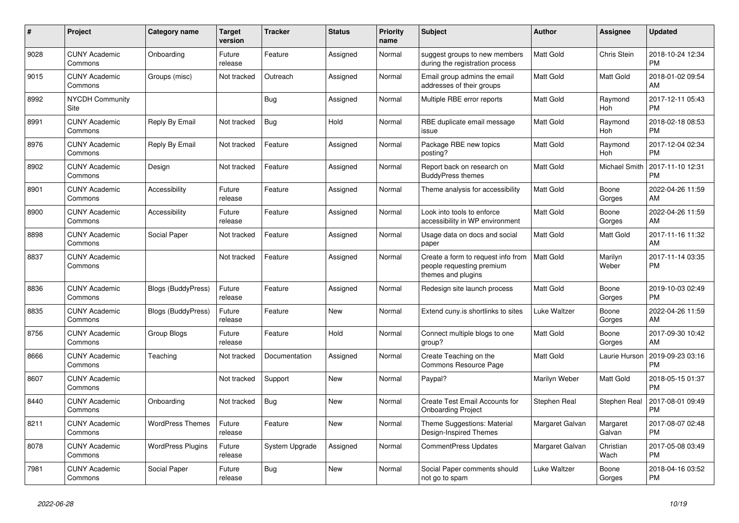| $\pmb{\#}$ | <b>Project</b>                        | Category name             | <b>Target</b><br>version | <b>Tracker</b> | <b>Status</b> | <b>Priority</b><br>name | <b>Subject</b>                                                                        | <b>Author</b>       | <b>Assignee</b>       | <b>Updated</b>                |
|------------|---------------------------------------|---------------------------|--------------------------|----------------|---------------|-------------------------|---------------------------------------------------------------------------------------|---------------------|-----------------------|-------------------------------|
| 9028       | <b>CUNY Academic</b><br>Commons       | Onboarding                | Future<br>release        | Feature        | Assigned      | Normal                  | suggest groups to new members<br>during the registration process                      | <b>Matt Gold</b>    | Chris Stein           | 2018-10-24 12:34<br><b>PM</b> |
| 9015       | <b>CUNY Academic</b><br>Commons       | Groups (misc)             | Not tracked              | Outreach       | Assigned      | Normal                  | Email group admins the email<br>addresses of their groups                             | Matt Gold           | <b>Matt Gold</b>      | 2018-01-02 09:54<br>AM        |
| 8992       | <b>NYCDH Community</b><br><b>Site</b> |                           |                          | <b>Bug</b>     | Assigned      | Normal                  | Multiple RBE error reports                                                            | Matt Gold           | Raymond<br>Hoh        | 2017-12-11 05:43<br><b>PM</b> |
| 8991       | <b>CUNY Academic</b><br>Commons       | Reply By Email            | Not tracked              | Bug            | Hold          | Normal                  | RBE duplicate email message<br>issue                                                  | <b>Matt Gold</b>    | Raymond<br><b>Hoh</b> | 2018-02-18 08:53<br><b>PM</b> |
| 8976       | <b>CUNY Academic</b><br>Commons       | Reply By Email            | Not tracked              | Feature        | Assigned      | Normal                  | Package RBE new topics<br>posting?                                                    | <b>Matt Gold</b>    | Raymond<br>Hoh        | 2017-12-04 02:34<br><b>PM</b> |
| 8902       | <b>CUNY Academic</b><br>Commons       | Design                    | Not tracked              | Feature        | Assigned      | Normal                  | Report back on research on<br><b>BuddyPress themes</b>                                | Matt Gold           | Michael Smith         | 2017-11-10 12:31<br><b>PM</b> |
| 8901       | <b>CUNY Academic</b><br>Commons       | Accessibility             | Future<br>release        | Feature        | Assigned      | Normal                  | Theme analysis for accessibility                                                      | <b>Matt Gold</b>    | Boone<br>Gorges       | 2022-04-26 11:59<br>AM        |
| 8900       | <b>CUNY Academic</b><br>Commons       | Accessibility             | Future<br>release        | Feature        | Assigned      | Normal                  | Look into tools to enforce<br>accessibility in WP environment                         | Matt Gold           | Boone<br>Gorges       | 2022-04-26 11:59<br>AM        |
| 8898       | <b>CUNY Academic</b><br>Commons       | Social Paper              | Not tracked              | Feature        | Assigned      | Normal                  | Usage data on docs and social<br>paper                                                | Matt Gold           | Matt Gold             | 2017-11-16 11:32<br>AM        |
| 8837       | <b>CUNY Academic</b><br>Commons       |                           | Not tracked              | Feature        | Assigned      | Normal                  | Create a form to request info from<br>people requesting premium<br>themes and plugins | <b>Matt Gold</b>    | Marilyn<br>Weber      | 2017-11-14 03:35<br><b>PM</b> |
| 8836       | <b>CUNY Academic</b><br>Commons       | <b>Blogs (BuddyPress)</b> | Future<br>release        | Feature        | Assigned      | Normal                  | Redesign site launch process                                                          | Matt Gold           | Boone<br>Gorges       | 2019-10-03 02:49<br><b>PM</b> |
| 8835       | <b>CUNY Academic</b><br>Commons       | <b>Blogs (BuddyPress)</b> | Future<br>release        | Feature        | <b>New</b>    | Normal                  | Extend cuny is shortlinks to sites                                                    | Luke Waltzer        | Boone<br>Gorges       | 2022-04-26 11:59<br>AM        |
| 8756       | <b>CUNY Academic</b><br>Commons       | Group Blogs               | Future<br>release        | Feature        | Hold          | Normal                  | Connect multiple blogs to one<br>group?                                               | Matt Gold           | Boone<br>Gorges       | 2017-09-30 10:42<br>AM        |
| 8666       | <b>CUNY Academic</b><br>Commons       | Teaching                  | Not tracked              | Documentation  | Assigned      | Normal                  | Create Teaching on the<br><b>Commons Resource Page</b>                                | <b>Matt Gold</b>    | Laurie Hurson         | 2019-09-23 03:16<br><b>PM</b> |
| 8607       | <b>CUNY Academic</b><br>Commons       |                           | Not tracked              | Support        | <b>New</b>    | Normal                  | Paypal?                                                                               | Marilyn Weber       | Matt Gold             | 2018-05-15 01:37<br><b>PM</b> |
| 8440       | <b>CUNY Academic</b><br>Commons       | Onboarding                | Not tracked              | Bug            | <b>New</b>    | Normal                  | Create Test Email Accounts for<br><b>Onboarding Project</b>                           | Stephen Real        | Stephen Real          | 2017-08-01 09:49<br><b>PM</b> |
| 8211       | <b>CUNY Academic</b><br>Commons       | <b>WordPress Themes</b>   | Future<br>release        | Feature        | <b>New</b>    | Normal                  | Theme Suggestions: Material<br>Design-Inspired Themes                                 | Margaret Galvan     | Margaret<br>Galvan    | 2017-08-07 02:48<br><b>PM</b> |
| 8078       | <b>CUNY Academic</b><br>Commons       | <b>WordPress Plugins</b>  | Future<br>release        | System Upgrade | Assigned      | Normal                  | <b>CommentPress Updates</b>                                                           | Margaret Galvan     | Christian<br>Wach     | 2017-05-08 03:49<br><b>PM</b> |
| 7981       | <b>CUNY Academic</b><br>Commons       | Social Paper              | Future<br>release        | <b>Bug</b>     | <b>New</b>    | Normal                  | Social Paper comments should<br>not go to spam                                        | <b>Luke Waltzer</b> | Boone<br>Gorges       | 2018-04-16 03:52<br><b>PM</b> |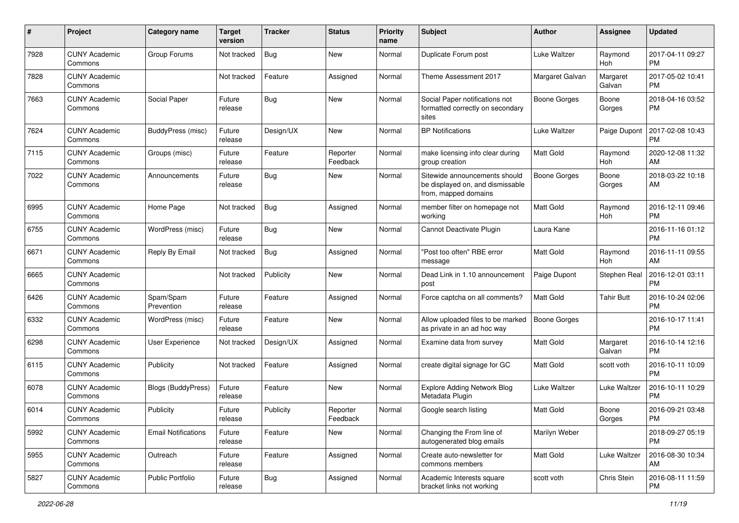| #    | Project                         | <b>Category name</b>       | <b>Target</b><br>version | <b>Tracker</b> | <b>Status</b>        | <b>Priority</b><br>name | Subject                                                                                   | Author              | <b>Assignee</b>    | <b>Updated</b>                |
|------|---------------------------------|----------------------------|--------------------------|----------------|----------------------|-------------------------|-------------------------------------------------------------------------------------------|---------------------|--------------------|-------------------------------|
| 7928 | <b>CUNY Academic</b><br>Commons | Group Forums               | Not tracked              | <b>Bug</b>     | <b>New</b>           | Normal                  | Duplicate Forum post                                                                      | <b>Luke Waltzer</b> | Raymond<br>Hoh     | 2017-04-11 09:27<br><b>PM</b> |
| 7828 | <b>CUNY Academic</b><br>Commons |                            | Not tracked              | Feature        | Assigned             | Normal                  | Theme Assessment 2017                                                                     | Margaret Galvan     | Margaret<br>Galvan | 2017-05-02 10:41<br><b>PM</b> |
| 7663 | <b>CUNY Academic</b><br>Commons | Social Paper               | Future<br>release        | Bug            | New                  | Normal                  | Social Paper notifications not<br>formatted correctly on secondary<br>sites               | <b>Boone Gorges</b> | Boone<br>Gorges    | 2018-04-16 03:52<br><b>PM</b> |
| 7624 | <b>CUNY Academic</b><br>Commons | BuddyPress (misc)          | Future<br>release        | Design/UX      | New                  | Normal                  | <b>BP</b> Notifications                                                                   | <b>Luke Waltzer</b> | Paige Dupont       | 2017-02-08 10:43<br><b>PM</b> |
| 7115 | <b>CUNY Academic</b><br>Commons | Groups (misc)              | Future<br>release        | Feature        | Reporter<br>Feedback | Normal                  | make licensing info clear during<br>group creation                                        | <b>Matt Gold</b>    | Raymond<br>Hoh     | 2020-12-08 11:32<br>AM        |
| 7022 | <b>CUNY Academic</b><br>Commons | Announcements              | Future<br>release        | <b>Bug</b>     | New                  | Normal                  | Sitewide announcements should<br>be displayed on, and dismissable<br>from, mapped domains | <b>Boone Gorges</b> | Boone<br>Gorges    | 2018-03-22 10:18<br>AM        |
| 6995 | <b>CUNY Academic</b><br>Commons | Home Page                  | Not tracked              | <b>Bug</b>     | Assigned             | Normal                  | member filter on homepage not<br>working                                                  | <b>Matt Gold</b>    | Raymond<br>Hoh     | 2016-12-11 09:46<br><b>PM</b> |
| 6755 | <b>CUNY Academic</b><br>Commons | WordPress (misc)           | Future<br>release        | <b>Bug</b>     | <b>New</b>           | Normal                  | Cannot Deactivate Plugin                                                                  | Laura Kane          |                    | 2016-11-16 01:12<br><b>PM</b> |
| 6671 | <b>CUNY Academic</b><br>Commons | Reply By Email             | Not tracked              | <b>Bug</b>     | Assigned             | Normal                  | "Post too often" RBE error<br>message                                                     | <b>Matt Gold</b>    | Raymond<br>Hoh     | 2016-11-11 09:55<br>AM        |
| 6665 | <b>CUNY Academic</b><br>Commons |                            | Not tracked              | Publicity      | New                  | Normal                  | Dead Link in 1.10 announcement<br>post                                                    | Paige Dupont        | Stephen Real       | 2016-12-01 03:11<br>PM        |
| 6426 | <b>CUNY Academic</b><br>Commons | Spam/Spam<br>Prevention    | Future<br>release        | Feature        | Assigned             | Normal                  | Force captcha on all comments?                                                            | <b>Matt Gold</b>    | <b>Tahir Butt</b>  | 2016-10-24 02:06<br><b>PM</b> |
| 6332 | <b>CUNY Academic</b><br>Commons | WordPress (misc)           | Future<br>release        | Feature        | <b>New</b>           | Normal                  | Allow uploaded files to be marked<br>as private in an ad hoc way                          | <b>Boone Gorges</b> |                    | 2016-10-17 11:41<br><b>PM</b> |
| 6298 | <b>CUNY Academic</b><br>Commons | User Experience            | Not tracked              | Design/UX      | Assigned             | Normal                  | Examine data from survey                                                                  | <b>Matt Gold</b>    | Margaret<br>Galvan | 2016-10-14 12:16<br><b>PM</b> |
| 6115 | <b>CUNY Academic</b><br>Commons | Publicity                  | Not tracked              | Feature        | Assigned             | Normal                  | create digital signage for GC                                                             | <b>Matt Gold</b>    | scott voth         | 2016-10-11 10:09<br><b>PM</b> |
| 6078 | <b>CUNY Academic</b><br>Commons | <b>Blogs (BuddyPress)</b>  | Future<br>release        | Feature        | <b>New</b>           | Normal                  | <b>Explore Adding Network Blog</b><br>Metadata Plugin                                     | <b>Luke Waltzer</b> | Luke Waltzer       | 2016-10-11 10:29<br><b>PM</b> |
| 6014 | <b>CUNY Academic</b><br>Commons | Publicity                  | Future<br>release        | Publicity      | Reporter<br>Feedback | Normal                  | Google search listing                                                                     | Matt Gold           | Boone<br>Gorges    | 2016-09-21 03:48<br>PM        |
| 5992 | <b>CUNY Academic</b><br>Commons | <b>Email Notifications</b> | Future<br>release        | Feature        | New                  | Normal                  | Changing the From line of<br>autogenerated blog emails                                    | Marilyn Weber       |                    | 2018-09-27 05:19<br><b>PM</b> |
| 5955 | <b>CUNY Academic</b><br>Commons | Outreach                   | Future<br>release        | Feature        | Assigned             | Normal                  | Create auto-newsletter for<br>commons members                                             | Matt Gold           | Luke Waltzer       | 2016-08-30 10:34<br>AM        |
| 5827 | <b>CUNY Academic</b><br>Commons | Public Portfolio           | Future<br>release        | <b>Bug</b>     | Assigned             | Normal                  | Academic Interests square<br>bracket links not working                                    | scott voth          | Chris Stein        | 2016-08-11 11:59<br>PM        |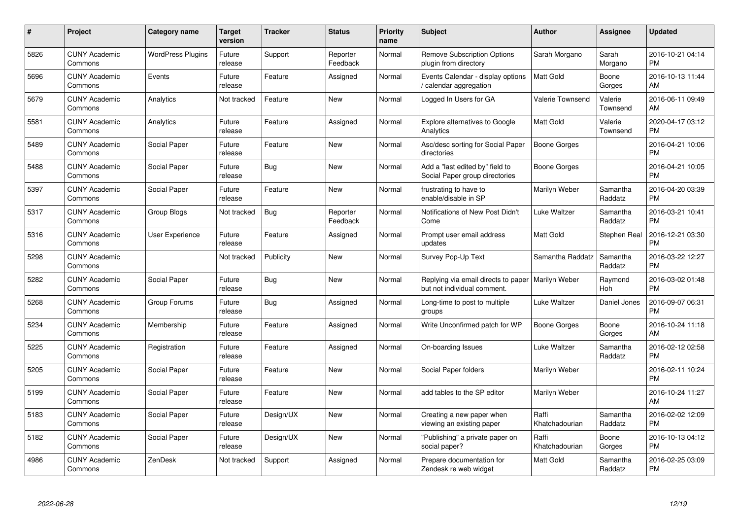| $\#$ | Project                         | <b>Category name</b>     | Target<br>version | <b>Tracker</b> | <b>Status</b>        | <b>Priority</b><br>name | <b>Subject</b>                                                     | Author                  | <b>Assignee</b>     | <b>Updated</b>                |
|------|---------------------------------|--------------------------|-------------------|----------------|----------------------|-------------------------|--------------------------------------------------------------------|-------------------------|---------------------|-------------------------------|
| 5826 | <b>CUNY Academic</b><br>Commons | <b>WordPress Plugins</b> | Future<br>release | Support        | Reporter<br>Feedback | Normal                  | <b>Remove Subscription Options</b><br>plugin from directory        | Sarah Morgano           | Sarah<br>Morgano    | 2016-10-21 04:14<br><b>PM</b> |
| 5696 | <b>CUNY Academic</b><br>Commons | Events                   | Future<br>release | Feature        | Assigned             | Normal                  | Events Calendar - display options<br>calendar aggregation          | <b>Matt Gold</b>        | Boone<br>Gorges     | 2016-10-13 11:44<br>AM        |
| 5679 | <b>CUNY Academic</b><br>Commons | Analytics                | Not tracked       | Feature        | <b>New</b>           | Normal                  | Logged In Users for GA                                             | Valerie Townsend        | Valerie<br>Townsend | 2016-06-11 09:49<br>AM        |
| 5581 | <b>CUNY Academic</b><br>Commons | Analytics                | Future<br>release | Feature        | Assigned             | Normal                  | Explore alternatives to Google<br>Analytics                        | Matt Gold               | Valerie<br>Townsend | 2020-04-17 03:12<br>PM        |
| 5489 | <b>CUNY Academic</b><br>Commons | Social Paper             | Future<br>release | Feature        | <b>New</b>           | Normal                  | Asc/desc sorting for Social Paper<br>directories                   | <b>Boone Gorges</b>     |                     | 2016-04-21 10:06<br><b>PM</b> |
| 5488 | <b>CUNY Academic</b><br>Commons | Social Paper             | Future<br>release | <b>Bug</b>     | <b>New</b>           | Normal                  | Add a "last edited by" field to<br>Social Paper group directories  | <b>Boone Gorges</b>     |                     | 2016-04-21 10:05<br>PM        |
| 5397 | <b>CUNY Academic</b><br>Commons | Social Paper             | Future<br>release | Feature        | <b>New</b>           | Normal                  | frustrating to have to<br>enable/disable in SP                     | Marilyn Weber           | Samantha<br>Raddatz | 2016-04-20 03:39<br>PM        |
| 5317 | <b>CUNY Academic</b><br>Commons | <b>Group Blogs</b>       | Not tracked       | <b>Bug</b>     | Reporter<br>Feedback | Normal                  | Notifications of New Post Didn't<br>Come                           | <b>Luke Waltzer</b>     | Samantha<br>Raddatz | 2016-03-21 10:41<br>PM        |
| 5316 | <b>CUNY Academic</b><br>Commons | User Experience          | Future<br>release | Feature        | Assigned             | Normal                  | Prompt user email address<br>updates                               | Matt Gold               | Stephen Real        | 2016-12-21 03:30<br><b>PM</b> |
| 5298 | <b>CUNY Academic</b><br>Commons |                          | Not tracked       | Publicity      | New                  | Normal                  | Survey Pop-Up Text                                                 | Samantha Raddatz        | Samantha<br>Raddatz | 2016-03-22 12:27<br><b>PM</b> |
| 5282 | <b>CUNY Academic</b><br>Commons | Social Paper             | Future<br>release | <b>Bug</b>     | New                  | Normal                  | Replying via email directs to paper<br>but not individual comment. | Marilyn Weber           | Raymond<br>Hoh      | 2016-03-02 01:48<br>PM        |
| 5268 | <b>CUNY Academic</b><br>Commons | Group Forums             | Future<br>release | <b>Bug</b>     | Assigned             | Normal                  | Long-time to post to multiple<br>groups                            | Luke Waltzer            | Daniel Jones        | 2016-09-07 06:31<br>PM        |
| 5234 | <b>CUNY Academic</b><br>Commons | Membership               | Future<br>release | Feature        | Assigned             | Normal                  | Write Unconfirmed patch for WP                                     | <b>Boone Gorges</b>     | Boone<br>Gorges     | 2016-10-24 11:18<br>AM        |
| 5225 | <b>CUNY Academic</b><br>Commons | Registration             | Future<br>release | Feature        | Assigned             | Normal                  | On-boarding Issues                                                 | <b>Luke Waltzer</b>     | Samantha<br>Raddatz | 2016-02-12 02:58<br>PM        |
| 5205 | <b>CUNY Academic</b><br>Commons | Social Paper             | Future<br>release | Feature        | <b>New</b>           | Normal                  | Social Paper folders                                               | Marilyn Weber           |                     | 2016-02-11 10:24<br>PM        |
| 5199 | <b>CUNY Academic</b><br>Commons | Social Paper             | Future<br>release | Feature        | <b>New</b>           | Normal                  | add tables to the SP editor                                        | Marilyn Weber           |                     | 2016-10-24 11:27<br>AM        |
| 5183 | <b>CUNY Academic</b><br>Commons | Social Paper             | Future<br>release | Design/UX      | New                  | Normal                  | Creating a new paper when<br>viewing an existing paper             | Raffi<br>Khatchadourian | Samantha<br>Raddatz | 2016-02-02 12:09<br><b>PM</b> |
| 5182 | <b>CUNY Academic</b><br>Commons | Social Paper             | Future<br>release | Design/UX      | <b>New</b>           | Normal                  | "Publishing" a private paper on<br>social paper?                   | Raffi<br>Khatchadourian | Boone<br>Gorges     | 2016-10-13 04:12<br><b>PM</b> |
| 4986 | <b>CUNY Academic</b><br>Commons | ZenDesk                  | Not tracked       | Support        | Assigned             | Normal                  | Prepare documentation for<br>Zendesk re web widget                 | Matt Gold               | Samantha<br>Raddatz | 2016-02-25 03:09<br>PM        |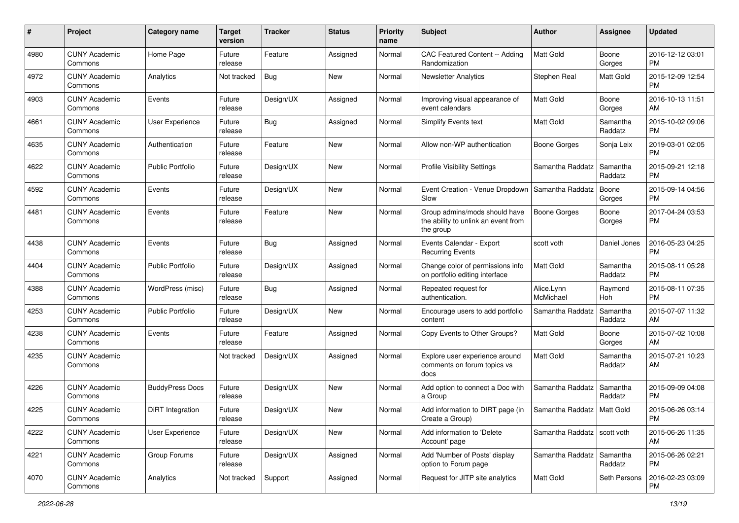| #    | Project                         | <b>Category name</b>    | Target<br>version | <b>Tracker</b> | <b>Status</b> | <b>Priority</b><br>name | Subject                                                                           | Author                        | <b>Assignee</b>       | <b>Updated</b>                |
|------|---------------------------------|-------------------------|-------------------|----------------|---------------|-------------------------|-----------------------------------------------------------------------------------|-------------------------------|-----------------------|-------------------------------|
| 4980 | <b>CUNY Academic</b><br>Commons | Home Page               | Future<br>release | Feature        | Assigned      | Normal                  | CAC Featured Content -- Adding<br>Randomization                                   | <b>Matt Gold</b>              | Boone<br>Gorges       | 2016-12-12 03:01<br><b>PM</b> |
| 4972 | <b>CUNY Academic</b><br>Commons | Analytics               | Not tracked       | <b>Bug</b>     | New           | Normal                  | <b>Newsletter Analytics</b>                                                       | Stephen Real                  | <b>Matt Gold</b>      | 2015-12-09 12:54<br><b>PM</b> |
| 4903 | <b>CUNY Academic</b><br>Commons | Events                  | Future<br>release | Design/UX      | Assigned      | Normal                  | Improving visual appearance of<br>event calendars                                 | <b>Matt Gold</b>              | Boone<br>Gorges       | 2016-10-13 11:51<br>AM        |
| 4661 | <b>CUNY Academic</b><br>Commons | User Experience         | Future<br>release | <b>Bug</b>     | Assigned      | Normal                  | Simplify Events text                                                              | Matt Gold                     | Samantha<br>Raddatz   | 2015-10-02 09:06<br><b>PM</b> |
| 4635 | <b>CUNY Academic</b><br>Commons | Authentication          | Future<br>release | Feature        | <b>New</b>    | Normal                  | Allow non-WP authentication                                                       | Boone Gorges                  | Sonja Leix            | 2019-03-01 02:05<br><b>PM</b> |
| 4622 | <b>CUNY Academic</b><br>Commons | <b>Public Portfolio</b> | Future<br>release | Design/UX      | New           | Normal                  | <b>Profile Visibility Settings</b>                                                | Samantha Raddatz              | Samantha<br>Raddatz   | 2015-09-21 12:18<br><b>PM</b> |
| 4592 | <b>CUNY Academic</b><br>Commons | Events                  | Future<br>release | Design/UX      | New           | Normal                  | Event Creation - Venue Dropdown<br>Slow                                           | Samantha Raddatz              | Boone<br>Gorges       | 2015-09-14 04:56<br><b>PM</b> |
| 4481 | <b>CUNY Academic</b><br>Commons | Events                  | Future<br>release | Feature        | New           | Normal                  | Group admins/mods should have<br>the ability to unlink an event from<br>the group | <b>Boone Gorges</b>           | Boone<br>Gorges       | 2017-04-24 03:53<br><b>PM</b> |
| 4438 | <b>CUNY Academic</b><br>Commons | Events                  | Future<br>release | Bug            | Assigned      | Normal                  | Events Calendar - Export<br><b>Recurring Events</b>                               | scott voth                    | Daniel Jones          | 2016-05-23 04:25<br>PM        |
| 4404 | <b>CUNY Academic</b><br>Commons | <b>Public Portfolio</b> | Future<br>release | Design/UX      | Assigned      | Normal                  | Change color of permissions info<br>on portfolio editing interface                | <b>Matt Gold</b>              | Samantha<br>Raddatz   | 2015-08-11 05:28<br><b>PM</b> |
| 4388 | <b>CUNY Academic</b><br>Commons | WordPress (misc)        | Future<br>release | <b>Bug</b>     | Assigned      | Normal                  | Repeated request for<br>authentication.                                           | Alice.Lynn<br>McMichael       | Raymond<br>Hoh        | 2015-08-11 07:35<br><b>PM</b> |
| 4253 | <b>CUNY Academic</b><br>Commons | <b>Public Portfolio</b> | Future<br>release | Design/UX      | New           | Normal                  | Encourage users to add portfolio<br>content                                       | Samantha Raddatz              | Samantha<br>Raddatz   | 2015-07-07 11:32<br>AM        |
| 4238 | <b>CUNY Academic</b><br>Commons | Events                  | Future<br>release | Feature        | Assigned      | Normal                  | Copy Events to Other Groups?                                                      | <b>Matt Gold</b>              | Boone<br>Gorges       | 2015-07-02 10:08<br>AM        |
| 4235 | <b>CUNY Academic</b><br>Commons |                         | Not tracked       | Design/UX      | Assigned      | Normal                  | Explore user experience around<br>comments on forum topics vs<br>docs             | <b>Matt Gold</b>              | Samantha<br>Raddatz   | 2015-07-21 10:23<br>AM        |
| 4226 | <b>CUNY Academic</b><br>Commons | <b>BuddyPress Docs</b>  | Future<br>release | Design/UX      | New           | Normal                  | Add option to connect a Doc with<br>a Group                                       | Samantha Raddatz              | Samantha<br>Raddatz   | 2015-09-09 04:08<br><b>PM</b> |
| 4225 | <b>CUNY Academic</b><br>Commons | DiRT Integration        | Future<br>release | Design/UX      | New           | Normal                  | Add information to DIRT page (in<br>Create a Group)                               | Samantha Raddatz              | Matt Gold             | 2015-06-26 03:14<br>PM        |
| 4222 | <b>CUNY Academic</b><br>Commons | User Experience         | Future<br>release | Design/UX      | New           | Normal                  | Add information to 'Delete<br>Account' page                                       | Samantha Raddatz   scott voth |                       | 2015-06-26 11:35<br>AM        |
| 4221 | <b>CUNY Academic</b><br>Commons | Group Forums            | Future<br>release | Design/UX      | Assigned      | Normal                  | Add 'Number of Posts' display<br>option to Forum page                             | Samantha Raddatz              | l Samantha<br>Raddatz | 2015-06-26 02:21<br>PM        |
| 4070 | <b>CUNY Academic</b><br>Commons | Analytics               | Not tracked       | Support        | Assigned      | Normal                  | Request for JITP site analytics                                                   | Matt Gold                     | Seth Persons          | 2016-02-23 03:09<br><b>PM</b> |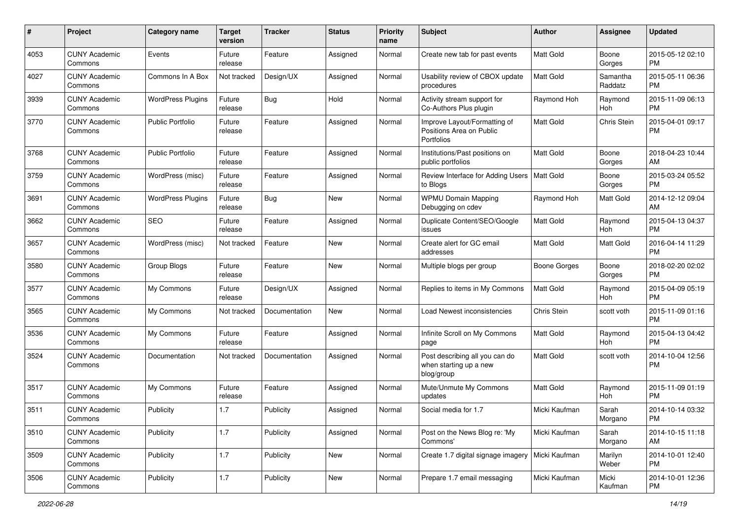| #    | Project                         | <b>Category name</b>     | <b>Target</b><br>version | <b>Tracker</b> | <b>Status</b> | <b>Priority</b><br>name | Subject                                                                | Author           | <b>Assignee</b>     | <b>Updated</b>                |
|------|---------------------------------|--------------------------|--------------------------|----------------|---------------|-------------------------|------------------------------------------------------------------------|------------------|---------------------|-------------------------------|
| 4053 | <b>CUNY Academic</b><br>Commons | Events                   | Future<br>release        | Feature        | Assigned      | Normal                  | Create new tab for past events                                         | <b>Matt Gold</b> | Boone<br>Gorges     | 2015-05-12 02:10<br><b>PM</b> |
| 4027 | <b>CUNY Academic</b><br>Commons | Commons In A Box         | Not tracked              | Design/UX      | Assigned      | Normal                  | Usability review of CBOX update<br>procedures                          | <b>Matt Gold</b> | Samantha<br>Raddatz | 2015-05-11 06:36<br><b>PM</b> |
| 3939 | CUNY Academic<br>Commons        | <b>WordPress Plugins</b> | Future<br>release        | <b>Bug</b>     | Hold          | Normal                  | Activity stream support for<br>Co-Authors Plus plugin                  | Raymond Hoh      | Raymond<br>Hoh      | 2015-11-09 06:13<br><b>PM</b> |
| 3770 | <b>CUNY Academic</b><br>Commons | Public Portfolio         | Future<br>release        | Feature        | Assigned      | Normal                  | Improve Layout/Formatting of<br>Positions Area on Public<br>Portfolios | <b>Matt Gold</b> | Chris Stein         | 2015-04-01 09:17<br>PM        |
| 3768 | <b>CUNY Academic</b><br>Commons | Public Portfolio         | Future<br>release        | Feature        | Assigned      | Normal                  | Institutions/Past positions on<br>public portfolios                    | <b>Matt Gold</b> | Boone<br>Gorges     | 2018-04-23 10:44<br>AM        |
| 3759 | <b>CUNY Academic</b><br>Commons | WordPress (misc)         | Future<br>release        | Feature        | Assigned      | Normal                  | Review Interface for Adding Users   Matt Gold<br>to Blogs              |                  | Boone<br>Gorges     | 2015-03-24 05:52<br><b>PM</b> |
| 3691 | <b>CUNY Academic</b><br>Commons | <b>WordPress Plugins</b> | Future<br>release        | <b>Bug</b>     | <b>New</b>    | Normal                  | <b>WPMU Domain Mapping</b><br>Debugging on cdev                        | Raymond Hoh      | <b>Matt Gold</b>    | 2014-12-12 09:04<br>AM        |
| 3662 | <b>CUNY Academic</b><br>Commons | <b>SEO</b>               | Future<br>release        | Feature        | Assigned      | Normal                  | Duplicate Content/SEO/Google<br>issues                                 | Matt Gold        | Raymond<br>Hoh      | 2015-04-13 04:37<br><b>PM</b> |
| 3657 | <b>CUNY Academic</b><br>Commons | WordPress (misc)         | Not tracked              | Feature        | New           | Normal                  | Create alert for GC email<br>addresses                                 | <b>Matt Gold</b> | Matt Gold           | 2016-04-14 11:29<br><b>PM</b> |
| 3580 | <b>CUNY Academic</b><br>Commons | Group Blogs              | Future<br>release        | Feature        | <b>New</b>    | Normal                  | Multiple blogs per group                                               | Boone Gorges     | Boone<br>Gorges     | 2018-02-20 02:02<br><b>PM</b> |
| 3577 | <b>CUNY Academic</b><br>Commons | My Commons               | Future<br>release        | Design/UX      | Assigned      | Normal                  | Replies to items in My Commons                                         | Matt Gold        | Raymond<br>Hoh      | 2015-04-09 05:19<br><b>PM</b> |
| 3565 | <b>CUNY Academic</b><br>Commons | My Commons               | Not tracked              | Documentation  | <b>New</b>    | Normal                  | Load Newest inconsistencies                                            | Chris Stein      | scott voth          | 2015-11-09 01:16<br><b>PM</b> |
| 3536 | <b>CUNY Academic</b><br>Commons | My Commons               | Future<br>release        | Feature        | Assigned      | Normal                  | Infinite Scroll on My Commons<br>page                                  | <b>Matt Gold</b> | Raymond<br>Hoh      | 2015-04-13 04:42<br><b>PM</b> |
| 3524 | <b>CUNY Academic</b><br>Commons | Documentation            | Not tracked              | Documentation  | Assigned      | Normal                  | Post describing all you can do<br>when starting up a new<br>blog/group | <b>Matt Gold</b> | scott voth          | 2014-10-04 12:56<br><b>PM</b> |
| 3517 | <b>CUNY Academic</b><br>Commons | My Commons               | Future<br>release        | Feature        | Assigned      | Normal                  | Mute/Unmute My Commons<br>updates                                      | Matt Gold        | Raymond<br>Hoh      | 2015-11-09 01:19<br><b>PM</b> |
| 3511 | <b>CUNY Academic</b><br>Commons | Publicity                | 1.7                      | Publicity      | Assigned      | Normal                  | Social media for 1.7                                                   | Micki Kaufman    | Sarah<br>Morgano    | 2014-10-14 03:32<br>PM        |
| 3510 | <b>CUNY Academic</b><br>Commons | Publicity                | 1.7                      | Publicity      | Assigned      | Normal                  | Post on the News Blog re: 'My<br>Commons'                              | Micki Kaufman    | Sarah<br>Morgano    | 2014-10-15 11:18<br>AM        |
| 3509 | <b>CUNY Academic</b><br>Commons | Publicity                | 1.7                      | Publicity      | New           | Normal                  | Create 1.7 digital signage imagery                                     | Micki Kaufman    | Marilyn<br>Weber    | 2014-10-01 12:40<br><b>PM</b> |
| 3506 | <b>CUNY Academic</b><br>Commons | Publicity                | 1.7                      | Publicity      | New           | Normal                  | Prepare 1.7 email messaging                                            | Micki Kaufman    | Micki<br>Kaufman    | 2014-10-01 12:36<br>PM        |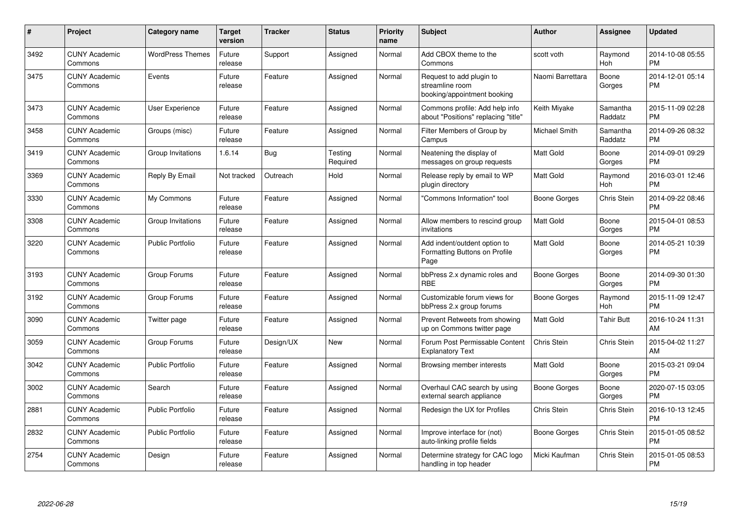| #    | Project                         | <b>Category name</b>    | Target<br>version | <b>Tracker</b> | <b>Status</b>       | <b>Priority</b><br>name | <b>Subject</b>                                                               | <b>Author</b>       | <b>Assignee</b>       | <b>Updated</b>                |
|------|---------------------------------|-------------------------|-------------------|----------------|---------------------|-------------------------|------------------------------------------------------------------------------|---------------------|-----------------------|-------------------------------|
| 3492 | <b>CUNY Academic</b><br>Commons | <b>WordPress Themes</b> | Future<br>release | Support        | Assigned            | Normal                  | Add CBOX theme to the<br>Commons                                             | scott voth          | Raymond<br>Hoh        | 2014-10-08 05:55<br><b>PM</b> |
| 3475 | <b>CUNY Academic</b><br>Commons | Events                  | Future<br>release | Feature        | Assigned            | Normal                  | Request to add plugin to<br>streamline room<br>booking/appointment booking   | Naomi Barrettara    | Boone<br>Gorges       | 2014-12-01 05:14<br><b>PM</b> |
| 3473 | <b>CUNY Academic</b><br>Commons | User Experience         | Future<br>release | Feature        | Assigned            | Normal                  | Commons profile: Add help info<br>about "Positions" replacing "title"        | Keith Miyake        | Samantha<br>Raddatz   | 2015-11-09 02:28<br>PM        |
| 3458 | <b>CUNY Academic</b><br>Commons | Groups (misc)           | Future<br>release | Feature        | Assigned            | Normal                  | Filter Members of Group by<br>Campus                                         | Michael Smith       | Samantha<br>Raddatz   | 2014-09-26 08:32<br><b>PM</b> |
| 3419 | <b>CUNY Academic</b><br>Commons | Group Invitations       | 1.6.14            | <b>Bug</b>     | Testing<br>Required | Normal                  | Neatening the display of<br>messages on group requests                       | Matt Gold           | Boone<br>Gorges       | 2014-09-01 09:29<br>РM        |
| 3369 | <b>CUNY Academic</b><br>Commons | Reply By Email          | Not tracked       | Outreach       | Hold                | Normal                  | Release reply by email to WP<br>plugin directory                             | Matt Gold           | Raymond<br>Hoh        | 2016-03-01 12:46<br><b>PM</b> |
| 3330 | <b>CUNY Academic</b><br>Commons | My Commons              | Future<br>release | Feature        | Assigned            | Normal                  | 'Commons Information" tool                                                   | Boone Gorges        | Chris Stein           | 2014-09-22 08:46<br><b>PM</b> |
| 3308 | <b>CUNY Academic</b><br>Commons | Group Invitations       | Future<br>release | Feature        | Assigned            | Normal                  | Allow members to rescind group<br>invitations                                | Matt Gold           | Boone<br>Gorges       | 2015-04-01 08:53<br><b>PM</b> |
| 3220 | <b>CUNY Academic</b><br>Commons | <b>Public Portfolio</b> | Future<br>release | Feature        | Assigned            | Normal                  | Add indent/outdent option to<br><b>Formatting Buttons on Profile</b><br>Page | Matt Gold           | Boone<br>Gorges       | 2014-05-21 10:39<br><b>PM</b> |
| 3193 | <b>CUNY Academic</b><br>Commons | Group Forums            | Future<br>release | Feature        | Assigned            | Normal                  | bbPress 2.x dynamic roles and<br><b>RBE</b>                                  | Boone Gorges        | Boone<br>Gorges       | 2014-09-30 01:30<br><b>PM</b> |
| 3192 | <b>CUNY Academic</b><br>Commons | Group Forums            | Future<br>release | Feature        | Assigned            | Normal                  | Customizable forum views for<br>bbPress 2.x group forums                     | Boone Gorges        | Raymond<br><b>Hoh</b> | 2015-11-09 12:47<br><b>PM</b> |
| 3090 | <b>CUNY Academic</b><br>Commons | Twitter page            | Future<br>release | Feature        | Assigned            | Normal                  | Prevent Retweets from showing<br>up on Commons twitter page                  | Matt Gold           | <b>Tahir Butt</b>     | 2016-10-24 11:31<br>AM        |
| 3059 | <b>CUNY Academic</b><br>Commons | Group Forums            | Future<br>release | Design/UX      | New                 | Normal                  | Forum Post Permissable Content<br><b>Explanatory Text</b>                    | Chris Stein         | Chris Stein           | 2015-04-02 11:27<br>AM        |
| 3042 | <b>CUNY Academic</b><br>Commons | <b>Public Portfolio</b> | Future<br>release | Feature        | Assigned            | Normal                  | Browsing member interests                                                    | Matt Gold           | Boone<br>Gorges       | 2015-03-21 09:04<br><b>PM</b> |
| 3002 | <b>CUNY Academic</b><br>Commons | Search                  | Future<br>release | Feature        | Assigned            | Normal                  | Overhaul CAC search by using<br>external search appliance                    | <b>Boone Gorges</b> | Boone<br>Gorges       | 2020-07-15 03:05<br><b>PM</b> |
| 2881 | <b>CUNY Academic</b><br>Commons | <b>Public Portfolio</b> | Future<br>release | Feature        | Assigned            | Normal                  | Redesign the UX for Profiles                                                 | Chris Stein         | Chris Stein           | 2016-10-13 12:45<br><b>PM</b> |
| 2832 | <b>CUNY Academic</b><br>Commons | <b>Public Portfolio</b> | Future<br>release | Feature        | Assigned            | Normal                  | Improve interface for (not)<br>auto-linking profile fields                   | Boone Gorges        | Chris Stein           | 2015-01-05 08:52<br>PM        |
| 2754 | <b>CUNY Academic</b><br>Commons | Design                  | Future<br>release | Feature        | Assigned            | Normal                  | Determine strategy for CAC logo<br>handling in top header                    | Micki Kaufman       | Chris Stein           | 2015-01-05 08:53<br><b>PM</b> |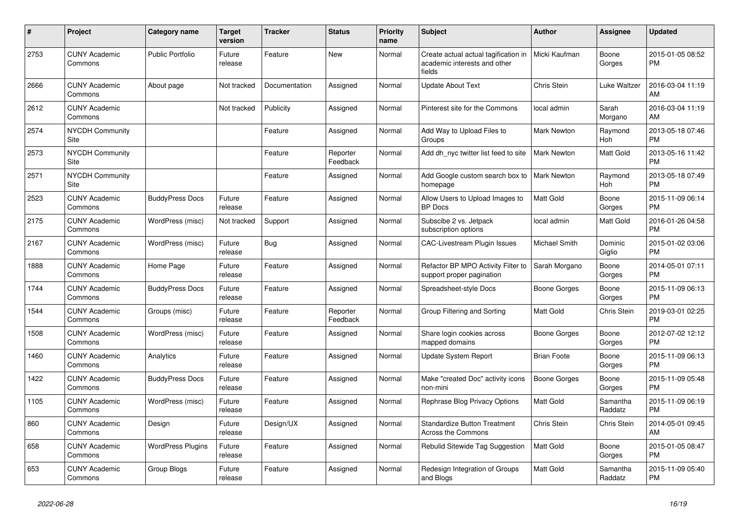| #    | Project                         | Category name            | Target<br>version | Tracker       | <b>Status</b>        | <b>Priority</b><br>name | <b>Subject</b>                                                                 | <b>Author</b>       | Assignee              | <b>Updated</b>                |
|------|---------------------------------|--------------------------|-------------------|---------------|----------------------|-------------------------|--------------------------------------------------------------------------------|---------------------|-----------------------|-------------------------------|
| 2753 | <b>CUNY Academic</b><br>Commons | <b>Public Portfolio</b>  | Future<br>release | Feature       | <b>New</b>           | Normal                  | Create actual actual tagification in<br>academic interests and other<br>fields | Micki Kaufman       | Boone<br>Gorges       | 2015-01-05 08:52<br><b>PM</b> |
| 2666 | <b>CUNY Academic</b><br>Commons | About page               | Not tracked       | Documentation | Assigned             | Normal                  | <b>Update About Text</b>                                                       | Chris Stein         | Luke Waltzer          | 2016-03-04 11:19<br>AM        |
| 2612 | <b>CUNY Academic</b><br>Commons |                          | Not tracked       | Publicity     | Assigned             | Normal                  | Pinterest site for the Commons                                                 | local admin         | Sarah<br>Morgano      | 2016-03-04 11:19<br>AM        |
| 2574 | <b>NYCDH Community</b><br>Site  |                          |                   | Feature       | Assigned             | Normal                  | Add Way to Upload Files to<br>Groups                                           | Mark Newton         | Raymond<br>Hoh        | 2013-05-18 07:46<br><b>PM</b> |
| 2573 | <b>NYCDH Community</b><br>Site  |                          |                   | Feature       | Reporter<br>Feedback | Normal                  | Add dh nyc twitter list feed to site                                           | <b>Mark Newton</b>  | <b>Matt Gold</b>      | 2013-05-16 11:42<br><b>PM</b> |
| 2571 | <b>NYCDH Community</b><br>Site  |                          |                   | Feature       | Assigned             | Normal                  | Add Google custom search box to<br>homepage                                    | <b>Mark Newton</b>  | Raymond<br><b>Hoh</b> | 2013-05-18 07:49<br><b>PM</b> |
| 2523 | <b>CUNY Academic</b><br>Commons | <b>BuddyPress Docs</b>   | Future<br>release | Feature       | Assigned             | Normal                  | Allow Users to Upload Images to<br><b>BP</b> Docs                              | Matt Gold           | Boone<br>Gorges       | 2015-11-09 06:14<br><b>PM</b> |
| 2175 | <b>CUNY Academic</b><br>Commons | WordPress (misc)         | Not tracked       | Support       | Assigned             | Normal                  | Subscibe 2 vs. Jetpack<br>subscription options                                 | local admin         | <b>Matt Gold</b>      | 2016-01-26 04:58<br><b>PM</b> |
| 2167 | <b>CUNY Academic</b><br>Commons | WordPress (misc)         | Future<br>release | <b>Bug</b>    | Assigned             | Normal                  | <b>CAC-Livestream Plugin Issues</b>                                            | Michael Smith       | Dominic<br>Giglio     | 2015-01-02 03:06<br><b>PM</b> |
| 1888 | <b>CUNY Academic</b><br>Commons | Home Page                | Future<br>release | Feature       | Assigned             | Normal                  | Refactor BP MPO Activity Filter to<br>support proper pagination                | Sarah Morgano       | Boone<br>Gorges       | 2014-05-01 07:11<br><b>PM</b> |
| 1744 | <b>CUNY Academic</b><br>Commons | <b>BuddyPress Docs</b>   | Future<br>release | Feature       | Assigned             | Normal                  | Spreadsheet-style Docs                                                         | Boone Gorges        | Boone<br>Gorges       | 2015-11-09 06:13<br><b>PM</b> |
| 1544 | <b>CUNY Academic</b><br>Commons | Groups (misc)            | Future<br>release | Feature       | Reporter<br>Feedback | Normal                  | Group Filtering and Sorting                                                    | Matt Gold           | Chris Stein           | 2019-03-01 02:25<br><b>PM</b> |
| 1508 | <b>CUNY Academic</b><br>Commons | WordPress (misc)         | Future<br>release | Feature       | Assigned             | Normal                  | Share login cookies across<br>mapped domains                                   | Boone Gorges        | Boone<br>Gorges       | 2012-07-02 12:12<br><b>PM</b> |
| 1460 | <b>CUNY Academic</b><br>Commons | Analytics                | Future<br>release | Feature       | Assigned             | Normal                  | Update System Report                                                           | <b>Brian Foote</b>  | Boone<br>Gorges       | 2015-11-09 06:13<br><b>PM</b> |
| 1422 | <b>CUNY Academic</b><br>Commons | <b>BuddyPress Docs</b>   | Future<br>release | Feature       | Assigned             | Normal                  | Make "created Doc" activity icons<br>non-mini                                  | <b>Boone Gorges</b> | Boone<br>Gorges       | 2015-11-09 05:48<br><b>PM</b> |
| 1105 | <b>CUNY Academic</b><br>Commons | WordPress (misc)         | Future<br>release | Feature       | Assigned             | Normal                  | Rephrase Blog Privacy Options                                                  | Matt Gold           | Samantha<br>Raddatz   | 2015-11-09 06:19<br><b>PM</b> |
| 860  | <b>CUNY Academic</b><br>Commons | Design                   | Future<br>release | Design/UX     | Assigned             | Normal                  | <b>Standardize Button Treatment</b><br>Across the Commons                      | Chris Stein         | Chris Stein           | 2014-05-01 09:45<br>AM        |
| 658  | <b>CUNY Academic</b><br>Commons | <b>WordPress Plugins</b> | Future<br>release | Feature       | Assigned             | Normal                  | Rebulid Sitewide Tag Suggestion                                                | Matt Gold           | Boone<br>Gorges       | 2015-01-05 08:47<br><b>PM</b> |
| 653  | <b>CUNY Academic</b><br>Commons | Group Blogs              | Future<br>release | Feature       | Assigned             | Normal                  | Redesign Integration of Groups<br>and Blogs                                    | Matt Gold           | Samantha<br>Raddatz   | 2015-11-09 05:40<br><b>PM</b> |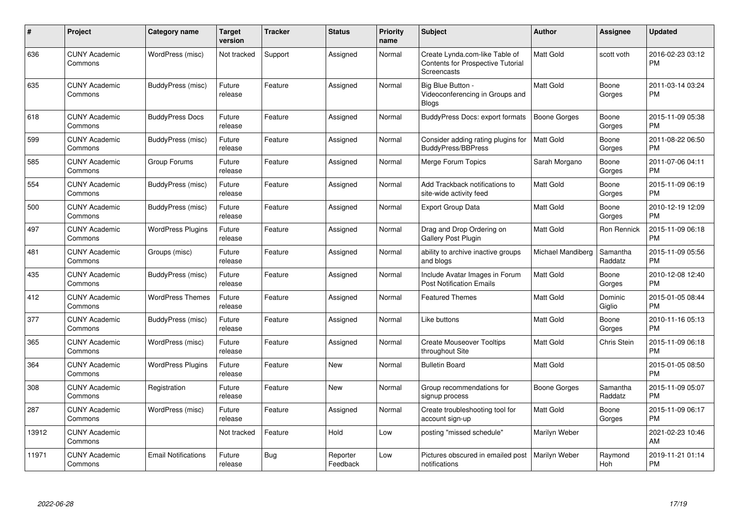| #     | Project                         | <b>Category name</b>       | Target<br>version | <b>Tracker</b> | <b>Status</b>        | <b>Priority</b><br>name | <b>Subject</b>                                                                            | <b>Author</b>       | <b>Assignee</b>     | <b>Updated</b>                |
|-------|---------------------------------|----------------------------|-------------------|----------------|----------------------|-------------------------|-------------------------------------------------------------------------------------------|---------------------|---------------------|-------------------------------|
| 636   | <b>CUNY Academic</b><br>Commons | WordPress (misc)           | Not tracked       | Support        | Assigned             | Normal                  | Create Lynda.com-like Table of<br><b>Contents for Prospective Tutorial</b><br>Screencasts | <b>Matt Gold</b>    | scott voth          | 2016-02-23 03:12<br><b>PM</b> |
| 635   | <b>CUNY Academic</b><br>Commons | BuddyPress (misc)          | Future<br>release | Feature        | Assigned             | Normal                  | Big Blue Button -<br>Videoconferencing in Groups and<br><b>Blogs</b>                      | Matt Gold           | Boone<br>Gorges     | 2011-03-14 03:24<br><b>PM</b> |
| 618   | <b>CUNY Academic</b><br>Commons | <b>BuddyPress Docs</b>     | Future<br>release | Feature        | Assigned             | Normal                  | <b>BuddyPress Docs: export formats</b>                                                    | <b>Boone Gorges</b> | Boone<br>Gorges     | 2015-11-09 05:38<br><b>PM</b> |
| 599   | <b>CUNY Academic</b><br>Commons | BuddyPress (misc)          | Future<br>release | Feature        | Assigned             | Normal                  | Consider adding rating plugins for<br>BuddyPress/BBPress                                  | Matt Gold           | Boone<br>Gorges     | 2011-08-22 06:50<br><b>PM</b> |
| 585   | <b>CUNY Academic</b><br>Commons | Group Forums               | Future<br>release | Feature        | Assigned             | Normal                  | Merge Forum Topics                                                                        | Sarah Morgano       | Boone<br>Gorges     | 2011-07-06 04:11<br><b>PM</b> |
| 554   | <b>CUNY Academic</b><br>Commons | BuddyPress (misc)          | Future<br>release | Feature        | Assigned             | Normal                  | Add Trackback notifications to<br>site-wide activity feed                                 | <b>Matt Gold</b>    | Boone<br>Gorges     | 2015-11-09 06:19<br><b>PM</b> |
| 500   | <b>CUNY Academic</b><br>Commons | <b>BuddyPress (misc)</b>   | Future<br>release | Feature        | Assigned             | Normal                  | <b>Export Group Data</b>                                                                  | <b>Matt Gold</b>    | Boone<br>Gorges     | 2010-12-19 12:09<br><b>PM</b> |
| 497   | <b>CUNY Academic</b><br>Commons | <b>WordPress Plugins</b>   | Future<br>release | Feature        | Assigned             | Normal                  | Drag and Drop Ordering on<br><b>Gallery Post Plugin</b>                                   | Matt Gold           | <b>Ron Rennick</b>  | 2015-11-09 06:18<br><b>PM</b> |
| 481   | <b>CUNY Academic</b><br>Commons | Groups (misc)              | Future<br>release | Feature        | Assigned             | Normal                  | ability to archive inactive groups<br>and blogs                                           | Michael Mandiberg   | Samantha<br>Raddatz | 2015-11-09 05:56<br><b>PM</b> |
| 435   | <b>CUNY Academic</b><br>Commons | BuddyPress (misc)          | Future<br>release | Feature        | Assigned             | Normal                  | Include Avatar Images in Forum<br><b>Post Notification Emails</b>                         | <b>Matt Gold</b>    | Boone<br>Gorges     | 2010-12-08 12:40<br><b>PM</b> |
| 412   | <b>CUNY Academic</b><br>Commons | <b>WordPress Themes</b>    | Future<br>release | Feature        | Assigned             | Normal                  | <b>Featured Themes</b>                                                                    | <b>Matt Gold</b>    | Dominic<br>Giglio   | 2015-01-05 08:44<br><b>PM</b> |
| 377   | <b>CUNY Academic</b><br>Commons | BuddyPress (misc)          | Future<br>release | Feature        | Assigned             | Normal                  | Like buttons                                                                              | Matt Gold           | Boone<br>Gorges     | 2010-11-16 05:13<br><b>PM</b> |
| 365   | <b>CUNY Academic</b><br>Commons | WordPress (misc)           | Future<br>release | Feature        | Assigned             | Normal                  | <b>Create Mouseover Tooltips</b><br>throughout Site                                       | Matt Gold           | Chris Stein         | 2015-11-09 06:18<br><b>PM</b> |
| 364   | <b>CUNY Academic</b><br>Commons | <b>WordPress Plugins</b>   | Future<br>release | Feature        | <b>New</b>           | Normal                  | <b>Bulletin Board</b>                                                                     | <b>Matt Gold</b>    |                     | 2015-01-05 08:50<br><b>PM</b> |
| 308   | <b>CUNY Academic</b><br>Commons | Registration               | Future<br>release | Feature        | <b>New</b>           | Normal                  | Group recommendations for<br>signup process                                               | Boone Gorges        | Samantha<br>Raddatz | 2015-11-09 05:07<br><b>PM</b> |
| 287   | <b>CUNY Academic</b><br>Commons | WordPress (misc)           | Future<br>release | Feature        | Assigned             | Normal                  | Create troubleshooting tool for<br>account sign-up                                        | <b>Matt Gold</b>    | Boone<br>Gorges     | 2015-11-09 06:17<br><b>PM</b> |
| 13912 | <b>CUNY Academic</b><br>Commons |                            | Not tracked       | Feature        | Hold                 | Low                     | posting "missed schedule"                                                                 | Marilyn Weber       |                     | 2021-02-23 10:46<br>AM        |
| 11971 | <b>CUNY Academic</b><br>Commons | <b>Email Notifications</b> | Future<br>release | Bug            | Reporter<br>Feedback | Low                     | Pictures obscured in emailed post<br>notifications                                        | Marilyn Weber       | Raymond<br>Hoh      | 2019-11-21 01:14<br><b>PM</b> |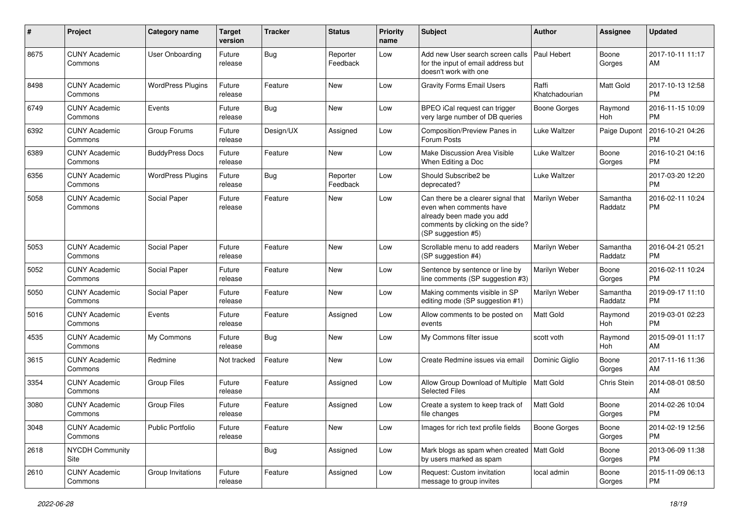| #    | Project                         | Category name            | <b>Target</b><br>version | <b>Tracker</b> | <b>Status</b>        | <b>Priority</b><br>name | Subject                                                                                                                                               | <b>Author</b>           | <b>Assignee</b>       | <b>Updated</b>                |
|------|---------------------------------|--------------------------|--------------------------|----------------|----------------------|-------------------------|-------------------------------------------------------------------------------------------------------------------------------------------------------|-------------------------|-----------------------|-------------------------------|
| 8675 | <b>CUNY Academic</b><br>Commons | <b>User Onboarding</b>   | Future<br>release        | Bug            | Reporter<br>Feedback | Low                     | Add new User search screen calls<br>for the input of email address but<br>doesn't work with one                                                       | Paul Hebert             | Boone<br>Gorges       | 2017-10-11 11:17<br>AM        |
| 8498 | <b>CUNY Academic</b><br>Commons | <b>WordPress Plugins</b> | Future<br>release        | Feature        | <b>New</b>           | Low                     | <b>Gravity Forms Email Users</b>                                                                                                                      | Raffi<br>Khatchadourian | Matt Gold             | 2017-10-13 12:58<br><b>PM</b> |
| 6749 | <b>CUNY Academic</b><br>Commons | Events                   | Future<br>release        | <b>Bug</b>     | New                  | Low                     | BPEO iCal request can trigger<br>very large number of DB queries                                                                                      | <b>Boone Gorges</b>     | Raymond<br><b>Hoh</b> | 2016-11-15 10:09<br><b>PM</b> |
| 6392 | <b>CUNY Academic</b><br>Commons | Group Forums             | Future<br>release        | Design/UX      | Assigned             | Low                     | Composition/Preview Panes in<br>Forum Posts                                                                                                           | <b>Luke Waltzer</b>     | Paige Dupont          | 2016-10-21 04:26<br><b>PM</b> |
| 6389 | <b>CUNY Academic</b><br>Commons | <b>BuddyPress Docs</b>   | Future<br>release        | Feature        | New                  | Low                     | Make Discussion Area Visible<br>When Editing a Doc                                                                                                    | Luke Waltzer            | Boone<br>Gorges       | 2016-10-21 04:16<br><b>PM</b> |
| 6356 | <b>CUNY Academic</b><br>Commons | <b>WordPress Plugins</b> | Future<br>release        | <b>Bug</b>     | Reporter<br>Feedback | Low                     | Should Subscribe2 be<br>deprecated?                                                                                                                   | Luke Waltzer            |                       | 2017-03-20 12:20<br><b>PM</b> |
| 5058 | <b>CUNY Academic</b><br>Commons | Social Paper             | Future<br>release        | Feature        | New                  | Low                     | Can there be a clearer signal that<br>even when comments have<br>already been made you add<br>comments by clicking on the side?<br>(SP suggestion #5) | Marilyn Weber           | Samantha<br>Raddatz   | 2016-02-11 10:24<br><b>PM</b> |
| 5053 | <b>CUNY Academic</b><br>Commons | Social Paper             | Future<br>release        | Feature        | New                  | Low                     | Scrollable menu to add readers<br>(SP suggestion #4)                                                                                                  | Marilyn Weber           | Samantha<br>Raddatz   | 2016-04-21 05:21<br><b>PM</b> |
| 5052 | <b>CUNY Academic</b><br>Commons | Social Paper             | Future<br>release        | Feature        | <b>New</b>           | Low                     | Sentence by sentence or line by<br>line comments (SP suggestion #3)                                                                                   | Marilyn Weber           | Boone<br>Gorges       | 2016-02-11 10:24<br><b>PM</b> |
| 5050 | <b>CUNY Academic</b><br>Commons | Social Paper             | Future<br>release        | Feature        | <b>New</b>           | Low                     | Making comments visible in SP<br>editing mode (SP suggestion #1)                                                                                      | Marilyn Weber           | Samantha<br>Raddatz   | 2019-09-17 11:10<br><b>PM</b> |
| 5016 | <b>CUNY Academic</b><br>Commons | Events                   | Future<br>release        | Feature        | Assigned             | Low                     | Allow comments to be posted on<br>events                                                                                                              | Matt Gold               | Raymond<br>Hoh        | 2019-03-01 02:23<br><b>PM</b> |
| 4535 | <b>CUNY Academic</b><br>Commons | My Commons               | Future<br>release        | Bug            | New                  | Low                     | My Commons filter issue                                                                                                                               | scott voth              | Raymond<br>Hoh        | 2015-09-01 11:17<br>AM        |
| 3615 | <b>CUNY Academic</b><br>Commons | Redmine                  | Not tracked              | Feature        | New                  | Low                     | Create Redmine issues via email                                                                                                                       | Dominic Giglio          | Boone<br>Gorges       | 2017-11-16 11:36<br>AM        |
| 3354 | <b>CUNY Academic</b><br>Commons | <b>Group Files</b>       | Future<br>release        | Feature        | Assigned             | Low                     | Allow Group Download of Multiple<br><b>Selected Files</b>                                                                                             | Matt Gold               | Chris Stein           | 2014-08-01 08:50<br>AM        |
| 3080 | <b>CUNY Academic</b><br>Commons | <b>Group Files</b>       | Future<br>release        | Feature        | Assigned             | Low                     | Create a system to keep track of<br>file changes                                                                                                      | <b>Matt Gold</b>        | Boone<br>Gorges       | 2014-02-26 10:04<br><b>PM</b> |
| 3048 | <b>CUNY Academic</b><br>Commons | Public Portfolio         | Future<br>release        | Feature        | New                  | Low                     | Images for rich text profile fields                                                                                                                   | <b>Boone Gorges</b>     | Boone<br>Gorges       | 2014-02-19 12:56<br><b>PM</b> |
| 2618 | NYCDH Community<br>Site         |                          |                          | <b>Bug</b>     | Assigned             | Low                     | Mark blogs as spam when created   Matt Gold<br>by users marked as spam                                                                                |                         | Boone<br>Gorges       | 2013-06-09 11:38<br><b>PM</b> |
| 2610 | <b>CUNY Academic</b><br>Commons | Group Invitations        | Future<br>release        | Feature        | Assigned             | Low                     | Request: Custom invitation<br>message to group invites                                                                                                | local admin             | Boone<br>Gorges       | 2015-11-09 06:13<br><b>PM</b> |